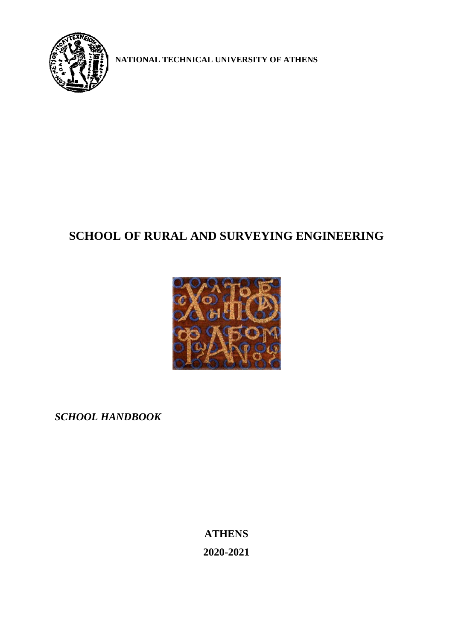

**NATIONAL TECHNICAL UNIVERSITY OF ATHENS**

# **SCHOOL OF RURAL AND SURVEYING ENGINEERING**



*SCHOOL HANDBOOK*

**ATHENS 2020-2021**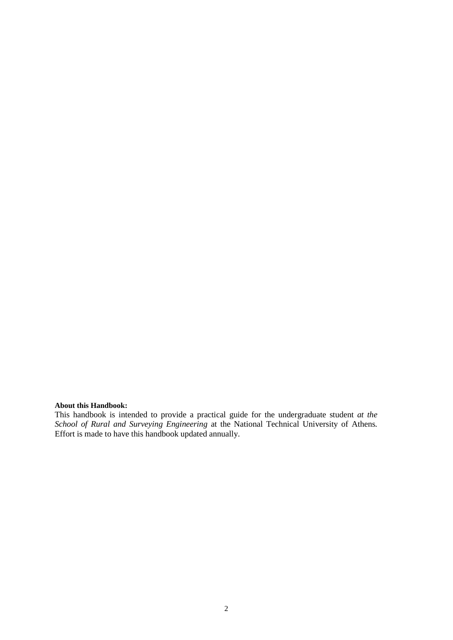# **About this Handbook:**

This handbook is intended to provide a practical guide for the undergraduate student *at the School of Rural and Surveying Engineering* at the National Technical University of Athens*.* Effort is made to have this handbook updated annually.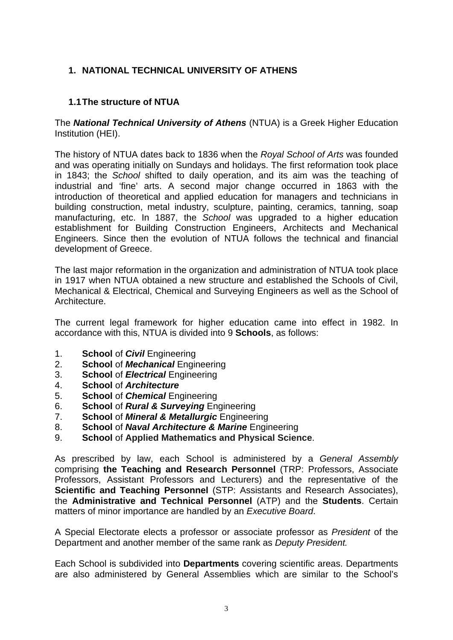# **1. NATIONAL TECHNICAL UNIVERSITY OF ATHENS**

#### **1.1The structure of NTUA**

The *National Technical University of Athens* (NTUA) is a Greek Higher Education Institution (HEI).

The history of NTUA dates back to 1836 when the *Royal School of Arts* was founded and was operating initially on Sundays and holidays. The first reformation took place in 1843; the *School* shifted to daily operation, and its aim was the teaching of industrial and 'fine' arts. A second major change occurred in 1863 with the introduction of theoretical and applied education for managers and technicians in building construction, metal industry, sculpture, painting, ceramics, tanning, soap manufacturing, etc. In 1887, the *School* was upgraded to a higher education establishment for Building Construction Engineers, Architects and Mechanical Engineers. Since then the evolution of NTUA follows the technical and financial development of Greece.

The last major reformation in the organization and administration of NTUA took place in 1917 when NTUA obtained a new structure and established the Schools of Civil, Mechanical & Electrical, Chemical and Surveying Engineers as well as the School of **Architecture** 

The current legal framework for higher education came into effect in 1982. In accordance with this, NTUA is divided into 9 **Schools**, as follows:

- 1. **School** of *Civil* Engineering
- 2. **School** of *Mechanical* Engineering
- 3. **School** of *Electrical* Engineering
- 4. **School** of *Architecture*
- **School** of *Chemical* Engineering
- 6. **School** of *Rural & Surveying* Engineering
- 7. **School** of *Mineral & Metallurgic* Engineering
- 8. **School** of *Naval Architecture & Marine* Engineering
- 9. **School** of **Applied Mathematics and Physical Science**.

As prescribed by law, each School is administered by a *General Assembly* comprising **the Teaching and Research Personnel** (TRP: Professors, Associate Professors, Assistant Professors and Lecturers) and the representative of the **Scientific and Teaching Personnel** (STP: Assistants and Research Associates), the **Administrative and Technical Personnel** (ATP) and the **Students**. Certain matters of minor importance are handled by an *Executive Board*.

A Special Electorate elects a professor or associate professor as *President* of the Department and another member of the same rank as *Deputy President.*

Each School is subdivided into **Departments** covering scientific areas. Departments are also administered by General Assemblies which are similar to the School's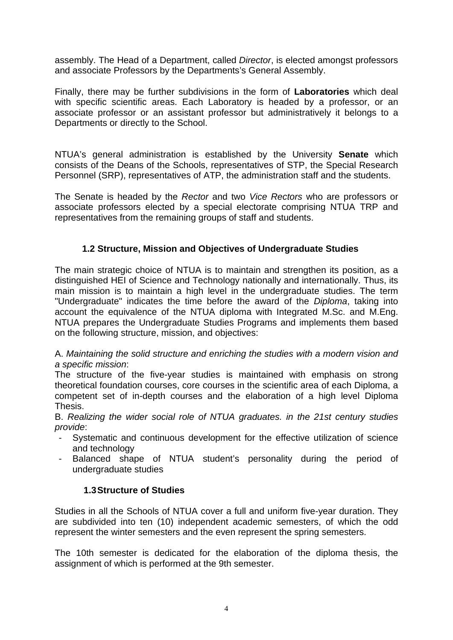assembly. The Head of a Department, called *Director*, is elected amongst professors and associate Professors by the Departments's General Assembly.

Finally, there may be further subdivisions in the form of **Laboratories** which deal with specific scientific areas. Each Laboratory is headed by a professor, or an associate professor or an assistant professor but administratively it belongs to a Departments or directly to the School.

NTUA's general administration is established by the University **Senate** which consists of the Deans of the Schools, representatives of STP, the Special Research Personnel (SRP), representatives of ATP, the administration staff and the students.

The Senate is headed by the *Rector* and two *Vice Rectors* who are professors or associate professors elected by a special electorate comprising NTUA TRP and representatives from the remaining groups of staff and students.

# **1.2 Structure, Mission and Objectives of Undergraduate Studies**

The main strategic choice of NTUA is to maintain and strengthen its position, as a distinguished HEI of Science and Technology nationally and internationally. Thus, its main mission is to maintain a high level in the undergraduate studies. The term "Undergraduate" indicates the time before the award of the *Diploma*, taking into account the equivalence of the NTUA diploma with Integrated M.Sc. and M.Eng. NTUA prepares the Undergraduate Studies Programs and implements them based on the following structure, mission, and objectives:

#### A. *Maintaining the solid structure and enriching the studies with a modern vision and a specific mission*:

The structure of the five-year studies is maintained with emphasis on strong theoretical foundation courses, core courses in the scientific area of each Diploma, a competent set of in-depth courses and the elaboration of a high level Diploma Thesis.

B. *Realizing the wider social role of NTUA graduates. in the 21st century studies provide*:

- Systematic and continuous development for the effective utilization of science and technology
- Balanced shape of NTUA student's personality during the period of undergraduate studies

# **1.3Structure of Studies**

Studies in all the Schools of NTUA cover a full and uniform five-year duration. They are subdivided into ten (10) independent academic semesters, of which the odd represent the winter semesters and the even represent the spring semesters.

The 10th semester is dedicated for the elaboration of the diploma thesis, the assignment of which is performed at the 9th semester.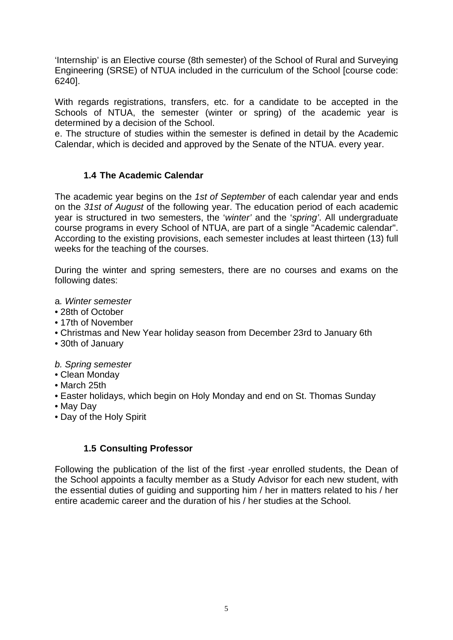'Internship' is an Elective course (8th semester) of the School of Rural and Surveying Engineering (SRSE) of NTUA included in the curriculum of the School [course code: 6240].

With regards registrations, transfers, etc. for a candidate to be accepted in the Schools of NTUA, the semester (winter or spring) of the academic year is determined by a decision of the School.

e. The structure of studies within the semester is defined in detail by the Academic Calendar, which is decided and approved by the Senate of the NTUA. every year.

# **1.4 The Academic Calendar**

The academic year begins on the *1st of September* of each calendar year and ends on the *31st of August* of the following year. The education period of each academic year is structured in two semesters, the '*winter'* and the '*spring'*. All undergraduate course programs in every School of NTUA, are part of a single "Academic calendar". According to the existing provisions, each semester includes at least thirteen (13) full weeks for the teaching of the courses.

During the winter and spring semesters, there are no courses and exams on the following dates:

- a*. Winter semester*
- 28th of October
- 17th of November
- Christmas and New Year holiday season from December 23rd to January 6th
- 30th of January

*b. Spring semester*

- Clean Monday
- March 25th
- Easter holidays, which begin on Holy Monday and end on St. Thomas Sunday
- May Day
- Day of the Holy Spirit

#### **1.5 Consulting Professor**

Following the publication of the list of the first -year enrolled students, the Dean of the School appoints a faculty member as a Study Advisor for each new student, with the essential duties of guiding and supporting him / her in matters related to his / her entire academic career and the duration of his / her studies at the School.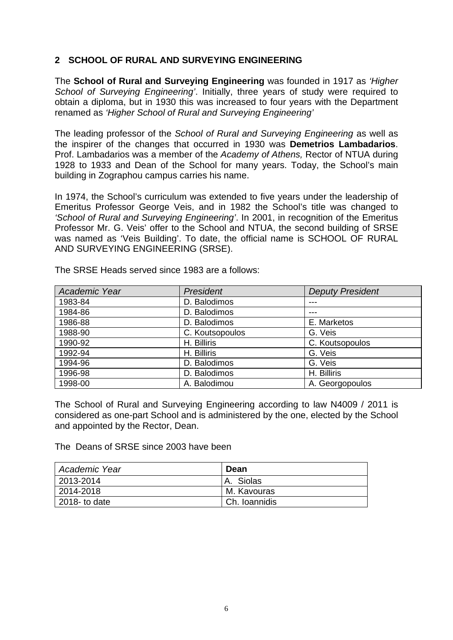#### **2 SCHOOL OF RURAL AND SURVEYING ENGINEERING**

The **School of Rural and Surveying Engineering** was founded in 1917 as *'Higher School of Surveying Engineering'*. Initially, three years of study were required to obtain a diploma, but in 1930 this was increased to four years with the Department renamed as *'Higher School of Rural and Surveying Engineering'*

The leading professor of the *School of Rural and Surveying Engineering* as well as the inspirer of the changes that occurred in 1930 was **Demetrios Lambadarios**. Prof. Lambadarios was a member of the *Academy of Athens,* Rector of NTUA during 1928 to 1933 and Dean of the School for many years. Today, the School's main building in Zographou campus carries his name.

In 1974, the School's curriculum was extended to five years under the leadership of Emeritus Professor George Veis, and in 1982 the School's title was changed to *'School of Rural and Surveying Engineering'*. In 2001, in recognition of the Emeritus Professor Mr. G. Veis' offer to the School and NTUA, the second building of SRSE was named as 'Veis Building'. To date, the official name is SCHOOL OF RURAL AND SURVEYING ENGINEERING (SRSE).

| Academic Year | President       | <b>Deputy President</b> |
|---------------|-----------------|-------------------------|
| 1983-84       | D. Balodimos    | ---                     |
| 1984-86       | D. Balodimos    | ---                     |
| 1986-88       | D. Balodimos    | E. Marketos             |
| 1988-90       | C. Koutsopoulos | G. Veis                 |
| 1990-92       | H. Billiris     | C. Koutsopoulos         |
| 1992-94       | H. Billiris     | G. Veis                 |
| 1994-96       | D. Balodimos    | G. Veis                 |
| 1996-98       | D. Balodimos    | H. Billiris             |
| 1998-00       | A. Balodimou    | A. Georgopoulos         |

The SRSE Heads served since 1983 are a follows:

The School of Rural and Surveying Engineering according to law N4009 / 2011 is considered as one-part School and is administered by the one, elected by the School and appointed by the Rector, Dean.

The Deans of SRSE since 2003 have been

| Academic Year | Dean            |
|---------------|-----------------|
| 2013-2014     | A. Siolas       |
| 2014-2018     | M. Kavouras     |
| 2018- to date | l Ch. Ioannidis |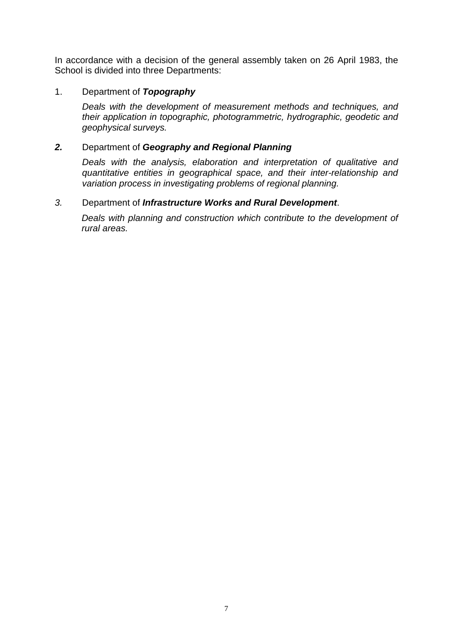In accordance with a decision of the general assembly taken on 26 April 1983, the School is divided into three Departments:

#### 1. Department of *Topography*

*Deals with the development of measurement methods and techniques, and their application in topographic, photogrammetric, hydrographic, geodetic and geophysical surveys.*

#### *2.* Department of *Geography and Regional Planning*

*Deals with the analysis, elaboration and interpretation of qualitative and quantitative entities in geographical space, and their inter-relationship and variation process in investigating problems of regional planning.*

#### *3.* Department of *Infrastructure Works and Rural Development*.

*Deals with planning and construction which contribute to the development of rural areas.*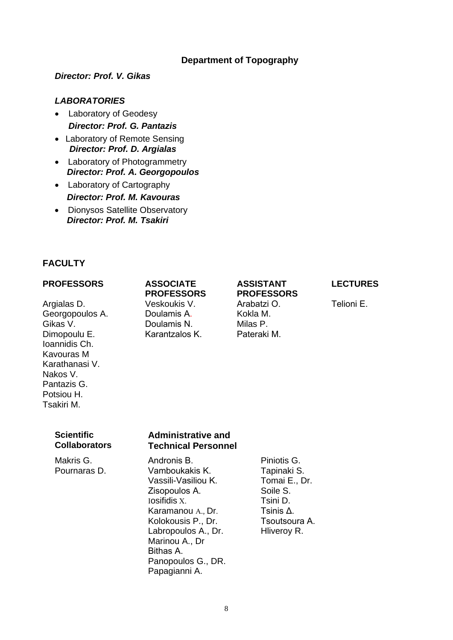#### **Department of Topography**

*Director: Prof. V. Gikas*

#### *LABORATORIES*

- Laboratory of Geodesy *Director: Prof. G. Pantazis*
- Laboratory of Remote Sensing  *Director: Prof. D. Argialas*
- Laboratory of Photogrammetry  *Director: Prof. A. Georgopoulos*
- Laboratory of Cartography  *Director: Prof. M. Kavouras*
- Dionysos Satellite Observatory  *Director: Prof. M. Tsakiri*

#### **FACULTY**

#### **PROFESSORS ASSOCIATE**

Argialas D. Veskoukis V. Arabatzi Ο. Telioni Ε. Georgopoulos A. Doulamis Α. Kokla M. Gikas V. Doulamis Ν. Milas P. Dimopoulu E. Karantzalos Κ. Pateraki Μ. Ioannidis Ch. Kavouras M Karathanasi V. Nakos V. Pantazis G. Potsiou H. Tsakiri M.

# **PROFESSORS**

# **ASSISTANT PROFESSORS**

#### **LECTURES**

#### **Scientific Collaborators**

#### **Administrative and Technical Personnel**

Makris G. Andronis Β. Piniotis G. Vamboukakis K. Vassili-Vasiliou Κ. Tomai E., Dr. Zisopoulos Α. Soile S. Ιosifidis Χ. Karamanou Α., Dr. Kolokousis P., Dr. Labropoulos A., Dr. Hliveroy R. Marinou A., Dr Bithas Α. Panopoulos G., DR. Papagianni A.

Tsini D. Tsinis Δ.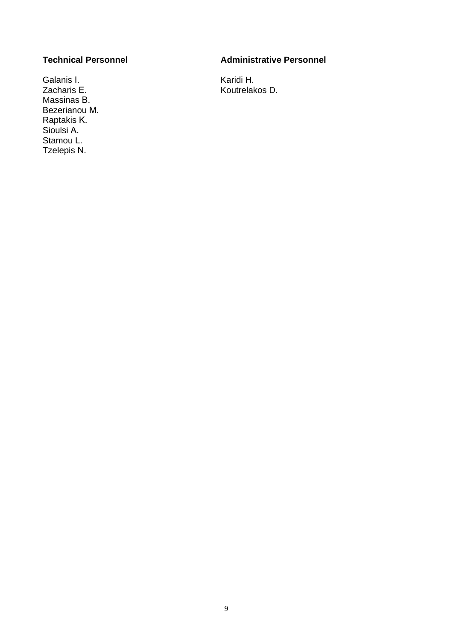Galanis Ι. (Galanis L. (Galanis E. (Galanis E. (Galanis E. (Galanis E. (Galanis E. (Galanis E. (Galanis E. (Ga<br>
State And Albert Counter Albert Counter Albert Counter Albert Counter Albert Counter Albert Counter Albert Co Massinas Β. Bezerianou Μ. Raptakis Κ. Sioulsi Α. Stamou L. Tzelepis Ν.

#### **Technical Personnel Administrative Personnel**

Koutrelakos D.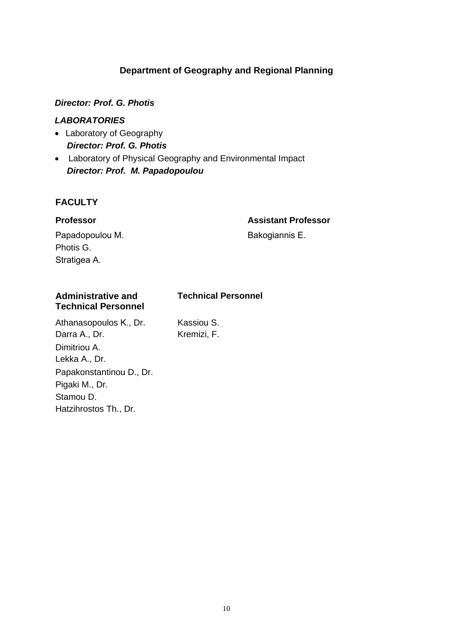# **Department of Geography and Regional Planning**

#### *Director: Prof. G. Photis*

#### *LABORATORIES*

- Laboratory of Geography  *Director: Prof. G. Photis*
- Laboratory of Physical Geography and Environmental Impact  *Director: Prof. M. Papadopoulou*

#### **FACULTY**

#### **Professor Assistant Professor**

Papadopoulou Μ. Photis G. Stratigea Α.

Bakogiannis Ε.

#### **Administrative and Technical Personnel Technical Personnel** Athanasopoulos K., Dr. Kassiou S.

Darra Α., Dr. Kremizi, F. Dimitriou A. Lekka A., Dr. Papakonstantinou D., Dr. Pigaki M., Dr. Stamou D. Hatzihrostos Th., Dr.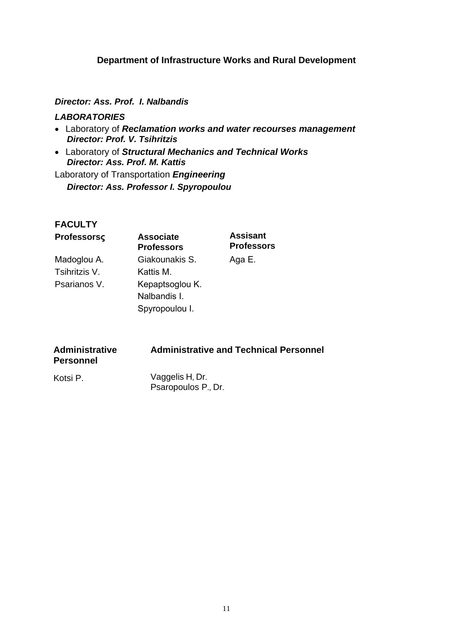#### **Department of Infrastructure Works and Rural Development**

#### *Director: Ass. Prof. I. Nalbandis*

#### *LABORATORIES*

- Laboratory of *Reclamation works and water recourses management Director: Prof. V. Tsihritzis*
- Laboratory of *Structural Mechanics and Technical Works Director: Ass. Prof. M. Kattis*

Laboratory of Transportation *Engineering Director: Ass. Professor I. Spyropoulou*

# **FACULTY**

| Professorsç   | <b>Associate</b><br><b>Professors</b> | <b>Assisant</b><br><b>Professors</b> |
|---------------|---------------------------------------|--------------------------------------|
| Madoglou A.   | Giakounakis S.                        | Aga E.                               |
| Tsihritzis V. | Kattis M.                             |                                      |
| Psarianos V.  | Kepaptsoglou K.                       |                                      |
|               | Nalbandis I.                          |                                      |
|               | Spyropoulou I.                        |                                      |

| <b>Administrative</b> | <b>Administrative and Technical Personnel</b> |
|-----------------------|-----------------------------------------------|
| <b>Personnel</b>      |                                               |
|                       |                                               |

Kotsi P. Vaggelis H, Dr. Psaropoulos P., Dr.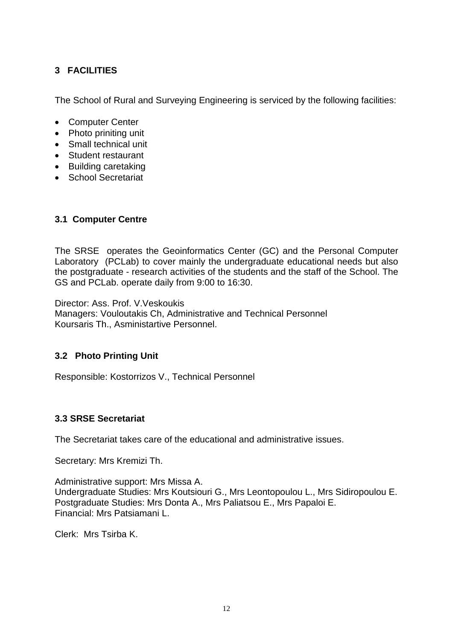# **3 FACILITIES**

The School of Rural and Surveying Engineering is serviced by the following facilities:

- Computer Center
- Photo priniting unit
- Small technical unit
- Student restaurant
- Building caretaking
- School Secretariat

# **3.1 Computer Centre**

The SRSE operates the Geoinformatics Center (GC) and the Personal Computer Laboratory (PCLab) to cover mainly the undergraduate educational needs but also the postgraduate - research activities of the students and the staff of the School. The GS and PCLab. operate daily from 9:00 to 16:30.

Director: Ass. Prof. V.Veskoukis Managers: Vouloutakis Ch, Administrative and Technical Personnel Koursaris Th., Asministartive Personnel.

# **3.2 Photo Printing Unit**

Responsible: Kostorrizos V., Technical Personnel

#### **3.3 SRSE Secretariat**

The Secretariat takes care of the educational and administrative issues.

Secretary: Mrs Kremizi Th.

Administrative support: Mrs Missa A. Undergraduate Studies: Mrs Koutsiouri G., Mrs Leontopoulou L., Mrs Sidiropoulou E. Postgraduate Studies: Mrs Donta Α., Mrs Paliatsou E., Mrs Papaloi E. Financial: Mrs Patsiamani L.

Clerk: Mrs Tsirba K.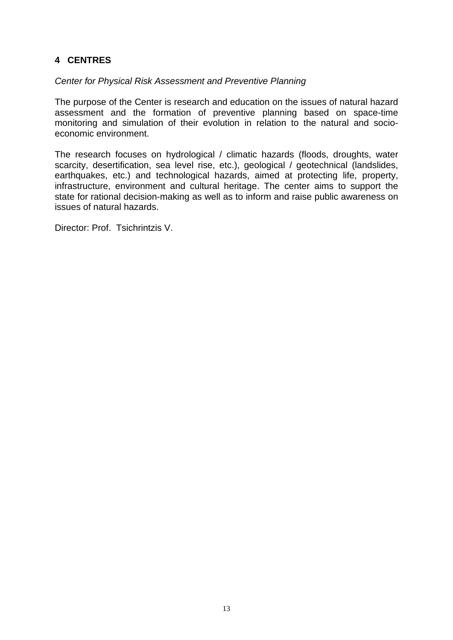# **4 CENTRES**

#### *Center for Physical Risk Assessment and Preventive Planning*

The purpose of the Center is research and education on the issues of natural hazard assessment and the formation of preventive planning based on space-time monitoring and simulation of their evolution in relation to the natural and socioeconomic environment.

The research focuses on hydrological / climatic hazards (floods, droughts, water scarcity, desertification, sea level rise, etc.), geological / geotechnical (landslides, earthquakes, etc.) and technological hazards, aimed at protecting life, property, infrastructure, environment and cultural heritage. The center aims to support the state for rational decision-making as well as to inform and raise public awareness on issues of natural hazards.

Director: Prof. Tsichrintzis V.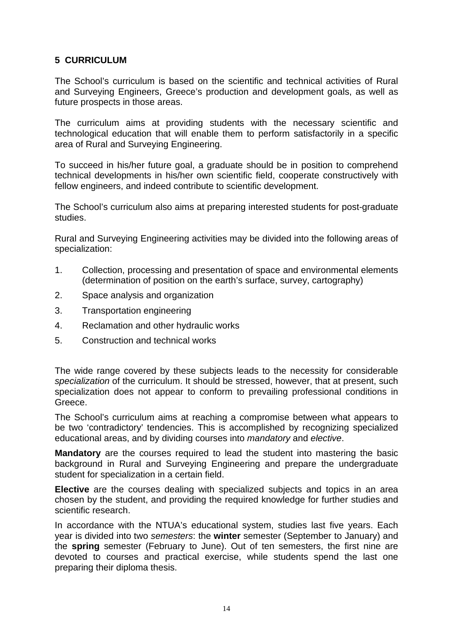#### **5 CURRICULUM**

The School's curriculum is based on the scientific and technical activities of Rural and Surveying Engineers, Greece's production and development goals, as well as future prospects in those areas.

The curriculum aims at providing students with the necessary scientific and technological education that will enable them to perform satisfactorily in a specific area of Rural and Surveying Engineering.

To succeed in his/her future goal, a graduate should be in position to comprehend technical developments in his/her own scientific field, cooperate constructively with fellow engineers, and indeed contribute to scientific development.

The School's curriculum also aims at preparing interested students for post-graduate studies.

Rural and Surveying Engineering activities may be divided into the following areas of specialization:

- 1. Collection, processing and presentation of space and environmental elements (determination of position on the earth's surface, survey, cartography)
- 2. Space analysis and organization
- 3. Transportation engineering
- 4. Reclamation and other hydraulic works
- 5. Construction and technical works

The wide range covered by these subjects leads to the necessity for considerable *specialization* of the curriculum. It should be stressed, however, that at present, such specialization does not appear to conform to prevailing professional conditions in Greece.

The School's curriculum aims at reaching a compromise between what appears to be two 'contradictory' tendencies. This is accomplished by recognizing specialized educational areas, and by dividing courses into *mandatory* and *elective*.

**Mandatory** are the courses required to lead the student into mastering the basic background in Rural and Surveying Engineering and prepare the undergraduate student for specialization in a certain field.

**Elective** are the courses dealing with specialized subjects and topics in an area chosen by the student, and providing the required knowledge for further studies and scientific research.

In accordance with the NTUA's educational system, studies last five years. Each year is divided into two *semesters*: the **winter** semester (September to January) and the **spring** semester (February to June). Out of ten semesters, the first nine are devoted to courses and practical exercise, while students spend the last one preparing their diploma thesis.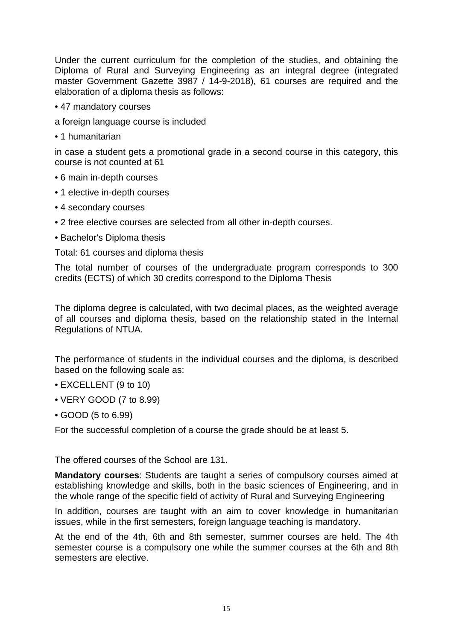Under the current curriculum for the completion of the studies, and obtaining the Diploma of Rural and Surveying Engineering as an integral degree (integrated master Government Gazette 3987 / 14-9-2018), 61 courses are required and the elaboration of a diploma thesis as follows:

• 47 mandatory courses

a foreign language course is included

• 1 humanitarian

in case a student gets a promotional grade in a second course in this category, this course is not counted at 61

- 6 main in-depth courses
- 1 elective in-depth courses
- 4 secondary courses
- 2 free elective courses are selected from all other in-depth courses.
- Bachelor's Diploma thesis

Total: 61 courses and diploma thesis

The total number of courses of the undergraduate program corresponds to 300 credits (ECTS) of which 30 credits correspond to the Diploma Thesis

The diploma degree is calculated, with two decimal places, as the weighted average of all courses and diploma thesis, based on the relationship stated in the Internal Regulations of NTUA.

The performance of students in the individual courses and the diploma, is described based on the following scale as:

- EXCELLENT (9 to 10)
- VERY GOOD (7 to 8.99)
- GOOD (5 to 6.99)

For the successful completion of a course the grade should be at least 5.

The offered courses of the School are 131.

**Mandatory courses**: Students are taught a series of compulsory courses aimed at establishing knowledge and skills, both in the basic sciences of Engineering, and in the whole range of the specific field of activity of Rural and Surveying Engineering

In addition, courses are taught with an aim to cover knowledge in humanitarian issues, while in the first semesters, foreign language teaching is mandatory.

At the end of the 4th, 6th and 8th semester, summer courses are held. The 4th semester course is a compulsory one while the summer courses at the 6th and 8th semesters are elective.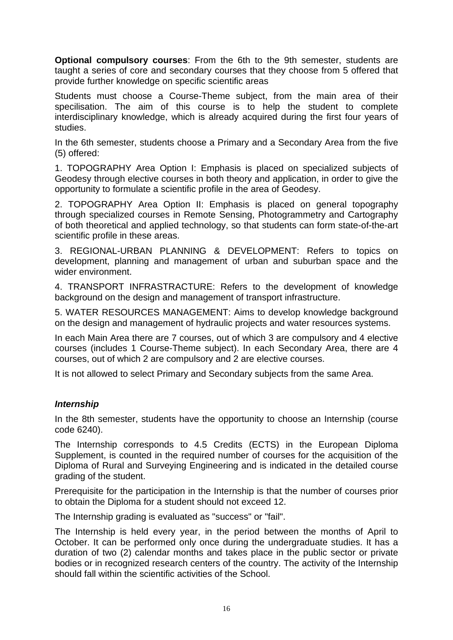**Optional compulsory courses**: From the 6th to the 9th semester, students are taught a series of core and secondary courses that they choose from 5 offered that provide further knowledge on specific scientific areas

Students must choose a Course-Theme subject, from the main area of their specilisation. The aim of this course is to help the student to complete interdisciplinary knowledge, which is already acquired during the first four years of studies.

In the 6th semester, students choose a Primary and a Secondary Area from the five (5) offered:

1. TOPOGRAPHY Area Option I: Emphasis is placed on specialized subjects of Geodesy through elective courses in both theory and application, in order to give the opportunity to formulate a scientific profile in the area of Geodesy.

2. TOPOGRAPHY Area Option II: Emphasis is placed on general topography through specialized courses in Remote Sensing, Photogrammetry and Cartography of both theoretical and applied technology, so that students can form state-of-the-art scientific profile in these areas.

3. REGIONAL-URBAN PLANNING & DEVELOPMENT: Refers to topics on development, planning and management of urban and suburban space and the wider environment

4. TRANSPORT INFRASTRACTURE: Refers to the development of knowledge background on the design and management of transport infrastructure.

5. WATER RESOURCES MANAGEMENT: Aims to develop knowledge background on the design and management of hydraulic projects and water resources systems.

In each Main Area there are 7 courses, out of which 3 are compulsory and 4 elective courses (includes 1 Course-Theme subject). In each Secondary Area, there are 4 courses, out of which 2 are compulsory and 2 are elective courses.

It is not allowed to select Primary and Secondary subjects from the same Area.

#### *Internship*

In the 8th semester, students have the opportunity to choose an Internship (course code 6240).

The Internship corresponds to 4.5 Credits (ECTS) in the European Diploma Supplement, is counted in the required number of courses for the acquisition of the Diploma of Rural and Surveying Engineering and is indicated in the detailed course grading of the student.

Prerequisite for the participation in the Internship is that the number of courses prior to obtain the Diploma for a student should not exceed 12.

The Internship grading is evaluated as "success" or "fail".

The Internship is held every year, in the period between the months of April to October. It can be performed only once during the undergraduate studies. It has a duration of two (2) calendar months and takes place in the public sector or private bodies or in recognized research centers of the country. The activity of the Internship should fall within the scientific activities of the School.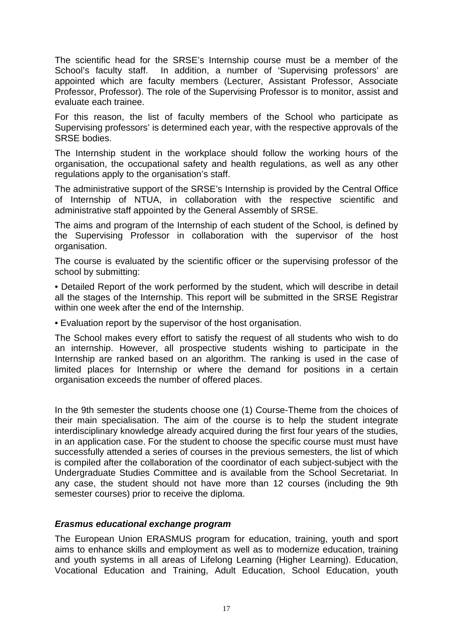The scientific head for the SRSE's Internship course must be a member of the School's faculty staff. In addition, a number of 'Supervising professors' are appointed which are faculty members (Lecturer, Assistant Professor, Associate Professor, Professor). The role of the Supervising Professor is to monitor, assist and evaluate each trainee.

For this reason, the list of faculty members of the School who participate as Supervising professors' is determined each year, with the respective approvals of the SRSE bodies.

The Internship student in the workplace should follow the working hours of the organisation, the occupational safety and health regulations, as well as any other regulations apply to the organisation's staff.

The administrative support of the SRSE's Internship is provided by the Central Office of Internship of NTUA, in collaboration with the respective scientific and administrative staff appointed by the General Assembly of SRSE.

The aims and program of the Internship of each student of the School, is defined by the Supervising Professor in collaboration with the supervisor of the host organisation.

The course is evaluated by the scientific officer or the supervising professor of the school by submitting:

• Detailed Report of the work performed by the student, which will describe in detail all the stages of the Internship. This report will be submitted in the SRSE Registrar within one week after the end of the Internship.

• Evaluation report by the supervisor of the host organisation.

The School makes every effort to satisfy the request of all students who wish to do an internship. However, all prospective students wishing to participate in the Internship are ranked based on an algorithm. The ranking is used in the case of limited places for Internship or where the demand for positions in a certain organisation exceeds the number of offered places.

In the 9th semester the students choose one (1) Course-Theme from the choices of their main specialisation. The aim of the course is to help the student integrate interdisciplinary knowledge already acquired during the first four years of the studies, in an application case. For the student to choose the specific course must must have successfully attended a series of courses in the previous semesters, the list of which is compiled after the collaboration of the coordinator of each subject-subject with the Undergraduate Studies Committee and is available from the School Secretariat. In any case, the student should not have more than 12 courses (including the 9th semester courses) prior to receive the diploma.

#### *Erasmus educational exchange program*

The European Union ERASMUS program for education, training, youth and sport aims to enhance skills and employment as well as to modernize education, training and youth systems in all areas of Lifelong Learning (Higher Learning). Education, Vocational Education and Training, Adult Education, School Education, youth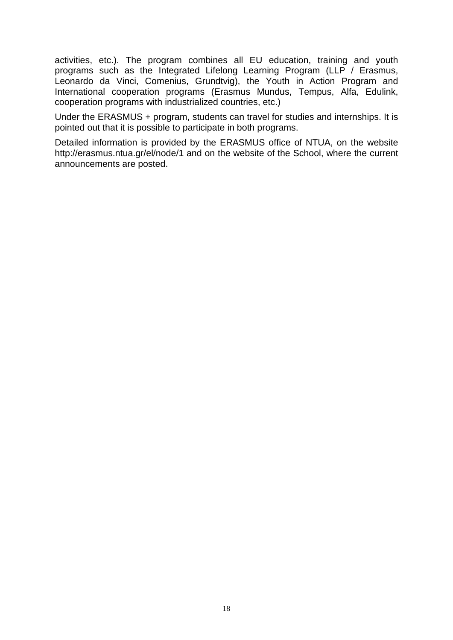activities, etc.). The program combines all EU education, training and youth programs such as the Integrated Lifelong Learning Program (LLP / Erasmus, Leonardo da Vinci, Comenius, Grundtvig), the Youth in Action Program and International cooperation programs (Erasmus Mundus, Tempus, Alfa, Edulink, cooperation programs with industrialized countries, etc.)

Under the ERASMUS + program, students can travel for studies and internships. It is pointed out that it is possible to participate in both programs.

Detailed information is provided by the ERASMUS office of NTUA, on the website http://erasmus.ntua.gr/el/node/1 and on the website of the School, where the current announcements are posted.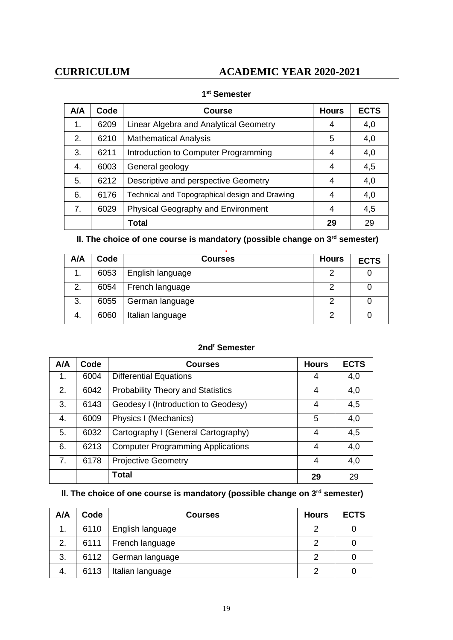# **CURRICULUM ACADEMIC YEAR 2020-2021**

| A/A | Code | <b>Course</b>                                  | <b>Hours</b> | <b>ECTS</b> |
|-----|------|------------------------------------------------|--------------|-------------|
| 1.  | 6209 | Linear Algebra and Analytical Geometry         | 4            | 4,0         |
| 2.  | 6210 | <b>Mathematical Analysis</b>                   | 5            | 4,0         |
| 3.  | 6211 | Introduction to Computer Programming           | 4            | 4,0         |
| 4.  | 6003 | General geology                                | 4            | 4,5         |
| 5.  | 6212 | Descriptive and perspective Geometry           | 4            | 4,0         |
| 6.  | 6176 | Technical and Topographical design and Drawing | 4            | 4,0         |
| 7.  | 6029 | <b>Physical Geography and Environment</b>      | 4            | 4,5         |
|     |      | <b>Total</b>                                   | 29           | 29          |

#### **1st Semester**

# **ΙΙ. The choice of one course is mandatory (possible change on 3rd semester)**

| A/A | Code | <b>Courses</b>   | <b>Hours</b> | <b>ECTS</b> |
|-----|------|------------------|--------------|-------------|
| 1.  | 6053 | English language |              |             |
| 2.  | 6054 | French language  |              |             |
| 3.  | 6055 | German language  | っ            |             |
| 4.  | 6060 | Italian language |              |             |

#### **2ndt Semester**

| A/A | Code | <b>Courses</b>                           | <b>Hours</b> | <b>ECTS</b> |
|-----|------|------------------------------------------|--------------|-------------|
| 1.  | 6004 | <b>Differential Equations</b>            | 4            | 4,0         |
| 2.  | 6042 | <b>Probability Theory and Statistics</b> | 4            | 4,0         |
| 3.  | 6143 | Geodesy I (Introduction to Geodesy)      | 4            | 4,5         |
| 4.  | 6009 | Physics I (Mechanics)                    | 5            | 4,0         |
| 5.  | 6032 | Cartography I (General Cartography)      | 4            | 4,5         |
| 6.  | 6213 | <b>Computer Programming Applications</b> | 4            | 4,0         |
| 7.  | 6178 | <b>Projective Geometry</b>               | 4            | 4,0         |
|     |      | <b>Total</b>                             | 29           | 29          |

# **ΙΙ. The choice of one course is mandatory (possible change on 3rd semester)**

| A/A | Code | <b>Courses</b>   | <b>Hours</b> | <b>ECTS</b> |
|-----|------|------------------|--------------|-------------|
| 1.  | 6110 | English language | າ            |             |
| 2.  | 6111 | French language  | っ            |             |
| 3.  | 6112 | German language  | っ            |             |
| 4.  | 6113 | Italian language |              |             |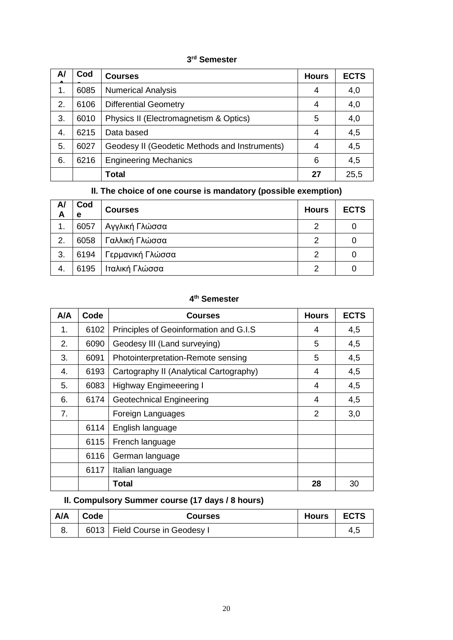#### **3rd Semester**

| A/ | Cod  | <b>Courses</b>                                | <b>Hours</b> | <b>ECTS</b> |
|----|------|-----------------------------------------------|--------------|-------------|
| 1. | 6085 | <b>Numerical Analysis</b>                     | 4            | 4,0         |
| 2. | 6106 | <b>Differential Geometry</b>                  | 4            | 4,0         |
| 3. | 6010 | Physics II (Electromagnetism & Optics)        | 5            | 4,0         |
| 4. | 6215 | Data based                                    | 4            | 4,5         |
| 5. | 6027 | Geodesy II (Geodetic Methods and Instruments) |              | 4,5         |
| 6. | 6216 | <b>Engineering Mechanics</b>                  | 6            | 4,5         |
|    |      | <b>Total</b>                                  | 27           | 25,5        |

#### **ΙΙ. The choice of one course is mandatory (possible exemption)**

| A/<br>A | Cod<br>е | <b>Courses</b>   | <b>Hours</b> | <b>ECTS</b> |
|---------|----------|------------------|--------------|-------------|
| 1.      | 6057     | Αγγλική Γλώσσα   | 2            |             |
| 2.      | 6058     | Γαλλική Γλώσσα   | 2            |             |
| 3.      | 6194     | Γερμανική Γλώσσα | 2            |             |
| 4.      | 6195     | Ιταλική Γλώσσα   | っ            |             |

#### **4th Semester**

| A/A | Code | Courses                                 | <b>Hours</b>   | <b>ECTS</b> |
|-----|------|-----------------------------------------|----------------|-------------|
| 1.  | 6102 | Principles of Geoinformation and G.I.S  | 4              | 4,5         |
| 2.  | 6090 | Geodesy III (Land surveying)            | 5              | 4,5         |
| 3.  | 6091 | Photointerpretation-Remote sensing      | 5              | 4,5         |
| 4.  | 6193 | Cartography II (Analytical Cartography) | 4              | 4,5         |
| 5.  | 6083 | <b>Highway Engimeeering I</b>           | 4              | 4,5         |
| 6.  | 6174 | <b>Geotechnical Engineering</b>         | 4              | 4,5         |
| 7.  |      | Foreign Languages                       | $\overline{2}$ | 3,0         |
|     | 6114 | English language                        |                |             |
|     | 6115 | French language                         |                |             |
|     | 6116 | German language                         |                |             |
|     | 6117 | Italian language                        |                |             |
|     |      | Total                                   | 28             | 30          |

# **ΙΙ. Compulsory Summer course (17 days / 8 hours)**

| A/A | Code | <b>Courses</b>                   | Hours | <b>ECTS</b> |
|-----|------|----------------------------------|-------|-------------|
|     |      | 6013   Field Course in Geodesy I |       |             |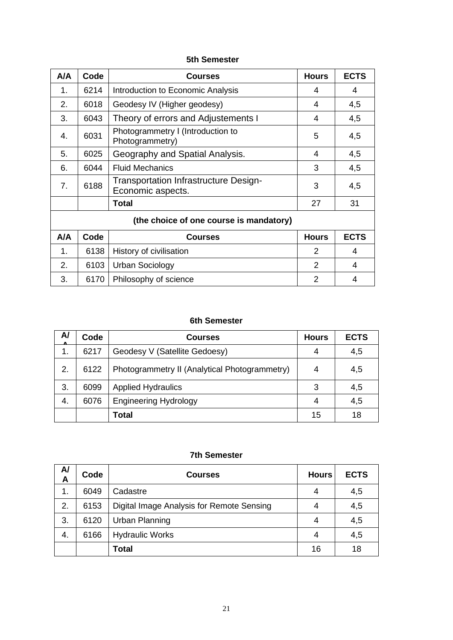#### **5th Semester**

| A/A                                     | Code | <b>Courses</b>                                                    | <b>Hours</b>  | <b>ECTS</b> |  |
|-----------------------------------------|------|-------------------------------------------------------------------|---------------|-------------|--|
| 1.                                      | 6214 | Introduction to Economic Analysis                                 | 4             | 4           |  |
| 2.                                      | 6018 | Geodesy IV (Higher geodesy)                                       | 4             | 4,5         |  |
| 3.                                      | 6043 | Theory of errors and Adjustements I                               | 4             | 4,5         |  |
| 4.                                      | 6031 | Photogrammetry I (Introduction to<br>Photogrammetry)              | 5             | 4,5         |  |
| 5.                                      | 6025 | Geography and Spatial Analysis.                                   | 4             | 4,5         |  |
| 6.                                      | 6044 | <b>Fluid Mechanics</b>                                            | 3             | 4,5         |  |
| 7.                                      | 6188 | <b>Transportation Infrastructure Design-</b><br>Economic aspects. | 3             | 4,5         |  |
|                                         |      | <b>Total</b>                                                      | 27            | 31          |  |
| (the choice of one course is mandatory) |      |                                                                   |               |             |  |
| A/A                                     | Code | <b>Courses</b>                                                    | <b>Hours</b>  | <b>ECTS</b> |  |
| 1.                                      | 6138 | History of civilisation                                           | $\mathcal{P}$ | 4           |  |
| 2.                                      | 6103 | <b>Urban Sociology</b>                                            | 2             | 4           |  |
| 3.                                      | 6170 | Philosophy of science                                             | $\mathcal{P}$ | 4           |  |

#### **6th Semester**

| A/ | Code | <b>Courses</b>                                | <b>Hours</b> | <b>ECTS</b> |
|----|------|-----------------------------------------------|--------------|-------------|
| 1. | 6217 | Geodesy V (Satellite Gedoesy)                 | 4            | 4,5         |
| 2. | 6122 | Photogrammetry II (Analytical Photogrammetry) | 4            | 4,5         |
| 3. | 6099 | <b>Applied Hydraulics</b>                     | 3            | 4,5         |
| 4. | 6076 | <b>Engineering Hydrology</b>                  |              | 4,5         |
|    |      | Total                                         | 15           | 18          |

#### **7th Semester**

| A/<br>A | Code | <b>Courses</b>                            | <b>Hours</b> | <b>ECTS</b> |
|---------|------|-------------------------------------------|--------------|-------------|
| 1.      | 6049 | Cadastre                                  | 4            | 4,5         |
| 2.      | 6153 | Digital Image Analysis for Remote Sensing | 4            | 4,5         |
| 3.      | 6120 | <b>Urban Planning</b>                     | 4            | 4,5         |
| 4.      | 6166 | <b>Hydraulic Works</b>                    | 4            | 4,5         |
|         |      | Total                                     | 16           | 18          |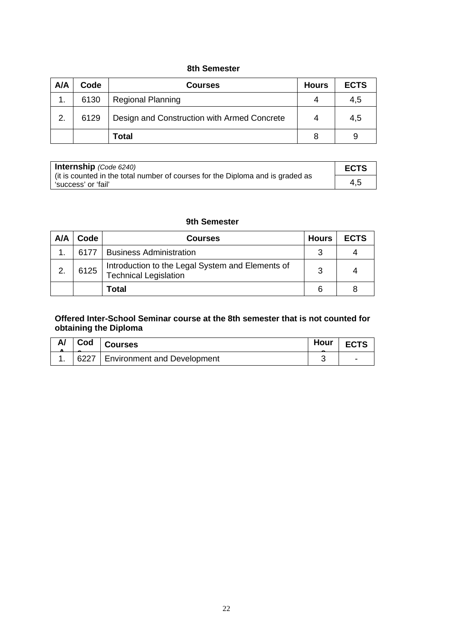#### **8th Semester**

| A/A | Code | <b>Courses</b>                              | <b>Hours</b> | <b>ECTS</b> |
|-----|------|---------------------------------------------|--------------|-------------|
|     | 6130 | <b>Regional Planning</b>                    | 4            | 4,5         |
| 2.  | 6129 | Design and Construction with Armed Concrete | 4            | 4,5         |
|     |      | Total                                       |              |             |

| <b>Internship</b> (Code $6240$ )                                                                        |     |
|---------------------------------------------------------------------------------------------------------|-----|
| I (it is counted in the total number of courses for the Diploma and is graded as<br>'success' or 'fail' | 4,5 |

#### **9th Semester**

| A/A | Code | <b>Courses</b>                                                                   | <b>Hours</b> | <b>ECTS</b> |
|-----|------|----------------------------------------------------------------------------------|--------------|-------------|
|     | 6177 | <b>Business Administration</b>                                                   | ?            |             |
| 2.  | 6125 | Introduction to the Legal System and Elements of<br><b>Technical Legislation</b> | વ            |             |
|     |      | Total                                                                            |              |             |

#### **Offered Inter-School Seminar course at the 8th semester that is not counted for obtaining the Diploma**

| A/ | Cod | <b>Courses</b>                     | Hour |  |
|----|-----|------------------------------------|------|--|
|    |     | 6227   Environment and Development |      |  |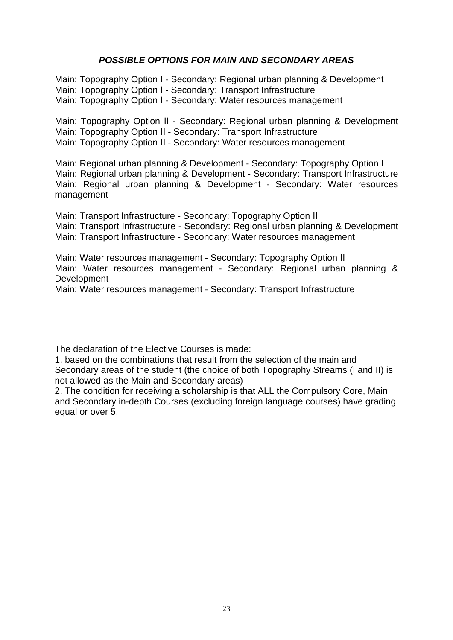#### *POSSIBLE OPTIONS FOR MAIN AND SECONDARY AREAS*

Main: Topography Option Ι - Secondary: Regional urban planning & Development Main: Topography Option Ι - Secondary: Transport Infrastructure Main: Topography Option Ι - Secondary: Water resources management

Main: Topography Option ΙΙ - Secondary: Regional urban planning & Development Main: Topography Option ΙΙ - Secondary: Transport Infrastructure Main: Topography Option ΙΙ - Secondary: Water resources management

Main: Regional urban planning & Development - Secondary: Topography Option Ι Main: Regional urban planning & Development - Secondary: Transport Infrastructure Main: Regional urban planning & Development - Secondary: Water resources management

Main: Transport Infrastructure - Secondary: Topography Option ΙΙ Main: Transport Infrastructure - Secondary: Regional urban planning & Development Main: Transport Infrastructure - Secondary: Water resources management

Main: Water resources management - Secondary: Topography Option ΙΙ Main: Water resources management - Secondary: Regional urban planning & Development

Main: Water resources management - Secondary: Transport Infrastructure

The declaration of the Elective Courses is made:

1. based on the combinations that result from the selection of the main and Secondary areas of the student (the choice of both Topography Streams (I and II) is not allowed as the Main and Secondary areas)

2. The condition for receiving a scholarship is that ALL the Compulsory Core, Main and Secondary in-depth Courses (excluding foreign language courses) have grading equal or over 5.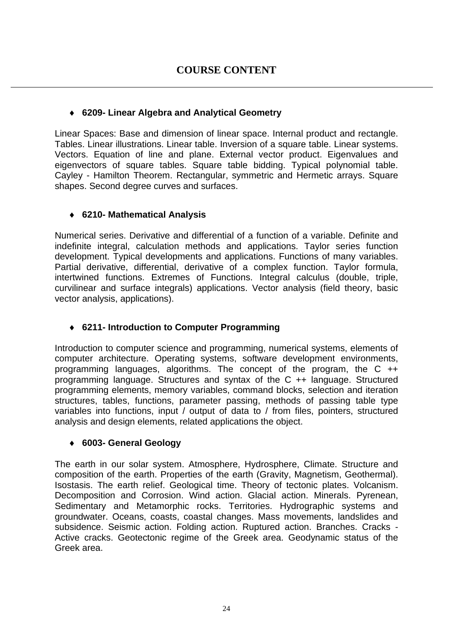# ♦ **6209- Linear Algebra and Analytical Geometry**

Linear Spaces: Base and dimension of linear space. Internal product and rectangle. Tables. Linear illustrations. Linear table. Inversion of a square table. Linear systems. Vectors. Equation of line and plane. External vector product. Eigenvalues and eigenvectors of square tables. Square table bidding. Typical polynomial table. Cayley - Hamilton Theorem. Rectangular, symmetric and Hermetic arrays. Square shapes. Second degree curves and surfaces.

# ♦ **6210- Mathematical Analysis**

Numerical series. Derivative and differential of a function of a variable. Definite and indefinite integral, calculation methods and applications. Taylor series function development. Typical developments and applications. Functions of many variables. Partial derivative, differential, derivative of a complex function. Taylor formula, intertwined functions. Extremes of Functions. Integral calculus (double, triple, curvilinear and surface integrals) applications. Vector analysis (field theory, basic vector analysis, applications).

# ♦ **6211- Introduction to Computer Programming**

Introduction to computer science and programming, numerical systems, elements of computer architecture. Operating systems, software development environments, programming languages, algorithms. The concept of the program, the C ++ programming language. Structures and syntax of the C ++ language. Structured programming elements, memory variables, command blocks, selection and iteration structures, tables, functions, parameter passing, methods of passing table type variables into functions, input / output of data to / from files, pointers, structured analysis and design elements, related applications the object.

# ♦ **6003- General Geology**

The earth in our solar system. Atmosphere, Hydrosphere, Climate. Structure and composition of the earth. Properties of the earth (Gravity, Magnetism, Geothermal). Isostasis. The earth relief. Geological time. Theory of tectonic plates. Volcanism. Decomposition and Corrosion. Wind action. Glacial action. Minerals. Pyrenean, Sedimentary and Metamorphic rocks. Territories. Hydrographic systems and groundwater. Oceans, coasts, coastal changes. Mass movements, landslides and subsidence. Seismic action. Folding action. Ruptured action. Branches. Cracks - Active cracks. Geotectonic regime of the Greek area. Geodynamic status of the Greek area.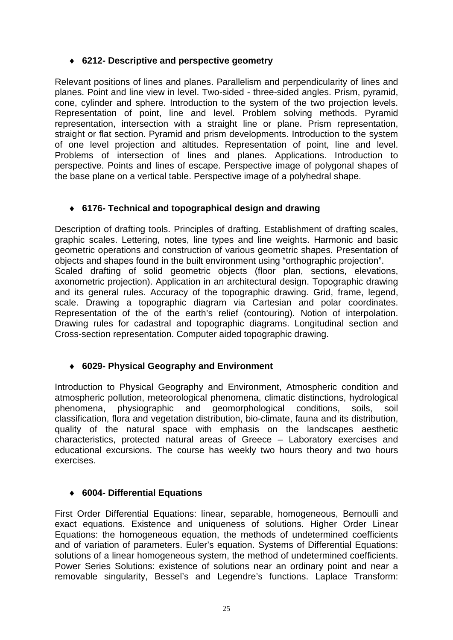# ♦ **6212- Descriptive and perspective geometry**

Relevant positions of lines and planes. Parallelism and perpendicularity of lines and planes. Point and line view in level. Two-sided - three-sided angles. Prism, pyramid, cone, cylinder and sphere. Introduction to the system of the two projection levels. Representation of point, line and level. Problem solving methods. Pyramid representation, intersection with a straight line or plane. Prism representation, straight or flat section. Pyramid and prism developments. Introduction to the system of one level projection and altitudes. Representation of point, line and level. Problems of intersection of lines and planes. Applications. Introduction to perspective. Points and lines of escape. Perspective image of polygonal shapes of the base plane on a vertical table. Perspective image of a polyhedral shape.

# ♦ **6176- Technical and topographical design and drawing**

Description of drafting tools. Principles of drafting. Establishment of drafting scales, graphic scales. Lettering, notes, line types and line weights. Harmonic and basic geometric operations and construction of various geometric shapes. Presentation of objects and shapes found in the built environment using "orthographic projection". Scaled drafting of solid geometric objects (floor plan, sections, elevations, axonometric projection). Application in an architectural design. Topographic drawing and its general rules. Accuracy of the topographic drawing. Grid, frame, legend, scale. Drawing a topographic diagram via Cartesian and polar coordinates. Representation of the of the earth's relief (contouring). Notion of interpolation. Drawing rules for cadastral and topographic diagrams. Longitudinal section and Cross-section representation. Computer aided topographic drawing.

# ♦ **6029- Physical Geography and Environment**

Introduction to Physical Geography and Environment, Atmospheric condition and atmospheric pollution, meteorological phenomena, climatic distinctions, hydrological phenomena, physiographic and geomorphological conditions, soils, soil classification, flora and vegetation distribution, bio-climate, fauna and its distribution, quality of the natural space with emphasis on the landscapes aesthetic characteristics, protected natural areas of Greece – Laboratory exercises and educational excursions. The course has weekly two hours theory and two hours exercises.

# ♦ **6004- Differential Equations**

First Order Differential Equations: linear, separable, homogeneous, Bernoulli and exact equations. Existence and uniqueness of solutions. Higher Order Linear Equations: the homogeneous equation, the methods of undetermined coefficients and of variation of parameters. Euler's equation. Systems of Differential Equations: solutions of a linear homogeneous system, the method of undetermined coefficients. Power Series Solutions: existence of solutions near an ordinary point and near a removable singularity, Bessel's and Legendre's functions. Laplace Transform: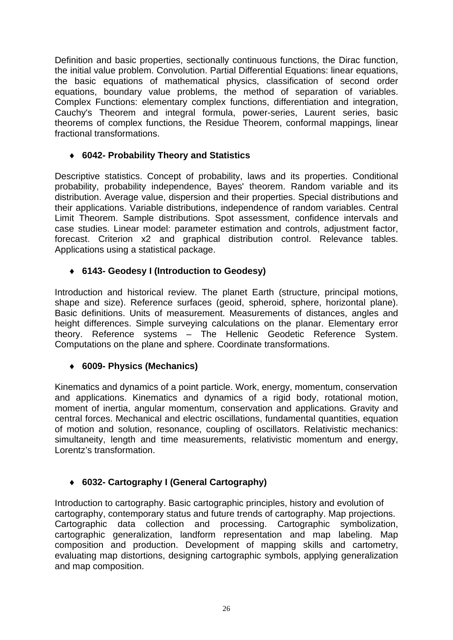Definition and basic properties, sectionally continuous functions, the Dirac function, the initial value problem. Convolution. Partial Differential Equations: linear equations, the basic equations of mathematical physics, classification of second order equations, boundary value problems, the method of separation of variables. Complex Functions: elementary complex functions, differentiation and integration, Cauchy's Theorem and integral formula, power-series, Laurent series, basic theorems of complex functions, the Residue Theorem, conformal mappings, linear fractional transformations.

# ♦ **6042- Probability Theory and Statistics**

Descriptive statistics. Concept of probability, laws and its properties. Conditional probability, probability independence, Bayes' theorem. Random variable and its distribution. Average value, dispersion and their properties. Special distributions and their applications. Variable distributions, independence of random variables. Central Limit Theorem. Sample distributions. Spot assessment, confidence intervals and case studies. Linear model: parameter estimation and controls, adjustment factor, forecast. Criterion x2 and graphical distribution control. Relevance tables. Applications using a statistical package.

# ♦ **6143- Geodesy I (Introduction to Geodesy)**

Introduction and historical review. The planet Earth (structure, principal motions, shape and size). Reference surfaces (geoid, spheroid, sphere, horizontal plane). Basic definitions. Units of measurement. Measurements of distances, angles and height differences. Simple surveying calculations on the planar. Elementary error theory. Reference systems – The Hellenic Geodetic Reference System. Computations on the plane and sphere. Coordinate transformations.

# ♦ **6009- Physics (Mechanics)**

Kinematics and dynamics of a point particle. Work, energy, momentum, conservation and applications. Kinematics and dynamics of a rigid body, rotational motion, moment of inertia, angular momentum, conservation and applications. Gravity and central forces. Mechanical and electric oscillations, fundamental quantities, equation of motion and solution, resonance, coupling of oscillators. Relativistic mechanics: simultaneity, length and time measurements, relativistic momentum and energy, Lorentz's transformation.

# ♦ **6032- Cartography I (General Cartography)**

Introduction to cartography. Basic cartographic principles, history and evolution of cartography, contemporary status and future trends of cartography. Map projections. Cartographic data collection and processing. Cartographic symbolization, cartographic generalization, landform representation and map labeling. Map composition and production. Development of mapping skills and cartometry, evaluating map distortions, designing cartographic symbols, applying generalization and map composition.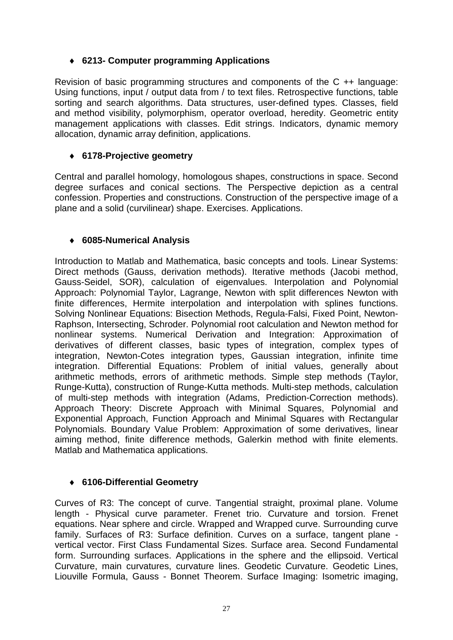# ♦ **6213- Computer programming Applications**

Revision of basic programming structures and components of the C ++ language: Using functions, input / output data from / to text files. Retrospective functions, table sorting and search algorithms. Data structures, user-defined types. Classes, field and method visibility, polymorphism, operator overload, heredity. Geometric entity management applications with classes. Edit strings. Indicators, dynamic memory allocation, dynamic array definition, applications.

# ♦ **6178-Projective geometry**

Central and parallel homology, homologous shapes, constructions in space. Second degree surfaces and conical sections. The Perspective depiction as a central confession. Properties and constructions. Construction of the perspective image of a plane and a solid (curvilinear) shape. Exercises. Applications.

# ♦ **6085-Numerical Analysis**

Introduction to Matlab and Mathematica, basic concepts and tools. Linear Systems: Direct methods (Gauss, derivation methods). Iterative methods (Jacobi method, Gauss-Seidel, SOR), calculation of eigenvalues. Interpolation and Polynomial Approach: Polynomial Taylor, Lagrange, Newton with split differences Newton with finite differences, Hermite interpolation and interpolation with splines functions. Solving Nonlinear Equations: Bisection Methods, Regula-Falsi, Fixed Point, Newton-Raphson, Intersecting, Schroder. Polynomial root calculation and Newton method for nonlinear systems. Numerical Derivation and Integration: Approximation of derivatives of different classes, basic types of integration, complex types of integration, Newton-Cotes integration types, Gaussian integration, infinite time integration. Differential Equations: Problem of initial values, generally about arithmetic methods, errors of arithmetic methods. Simple step methods (Taylor, Runge-Kutta), construction of Runge-Kutta methods. Multi-step methods, calculation of multi-step methods with integration (Adams, Prediction-Correction methods). Approach Theory: Discrete Approach with Minimal Squares, Polynomial and Exponential Approach, Function Approach and Minimal Squares with Rectangular Polynomials. Boundary Value Problem: Approximation of some derivatives, linear aiming method, finite difference methods, Galerkin method with finite elements. Matlab and Mathematica applications.

# ♦ **6106-Differential Geometry**

Curves of R3: The concept of curve. Tangential straight, proximal plane. Volume length - Physical curve parameter. Frenet trio. Curvature and torsion. Frenet equations. Near sphere and circle. Wrapped and Wrapped curve. Surrounding curve family. Surfaces of R3: Surface definition. Curves on a surface, tangent plane vertical vector. First Class Fundamental Sizes. Surface area. Second Fundamental form. Surrounding surfaces. Applications in the sphere and the ellipsoid. Vertical Curvature, main curvatures, curvature lines. Geodetic Curvature. Geodetic Lines, Liouville Formula, Gauss - Bonnet Theorem. Surface Imaging: Isometric imaging,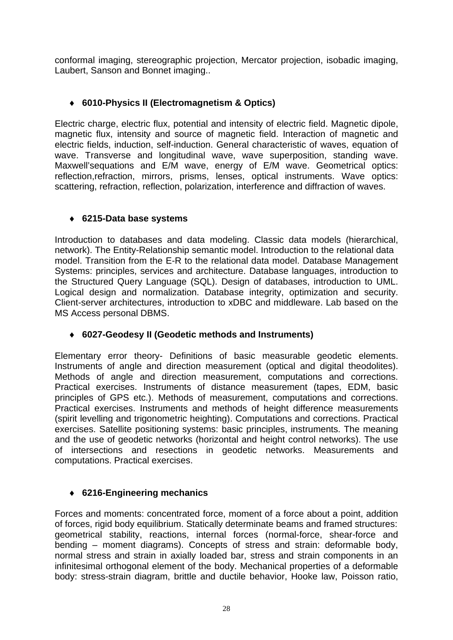conformal imaging, stereographic projection, Mercator projection, isobadic imaging, Laubert, Sanson and Bonnet imaging..

# ♦ **6010-Physics II (Electromagnetism & Optics)**

Electric charge, electric flux, potential and intensity of electric field. Magnetic dipole, magnetic flux, intensity and source of magnetic field. Interaction of magnetic and electric fields, induction, self-induction. General characteristic of waves, equation of wave. Transverse and longitudinal wave, wave superposition, standing wave. Maxwell'sequations and E/M wave, energy of E/M wave. Geometrical optics: reflection,refraction, mirrors, prisms, lenses, optical instruments. Wave optics: scattering, refraction, reflection, polarization, interference and diffraction of waves.

# ♦ **6215-Data base systems**

Introduction to databases and data modeling. Classic data models (hierarchical, network). The Entity-Relationship semantic model. Introduction to the relational data model. Transition from the E-R to the relational data model. Database Management Systems: principles, services and architecture. Database languages, introduction to the Structured Query Language (SQL). Design of databases, introduction to UML. Logical design and normalization. Database integrity, optimization and security. Client-server architectures, introduction to xDBC and middleware. Lab based on the MS Access personal DBMS.

# ♦ **6027-Geodesy II (Geodetic methods and Instruments)**

Elementary error theory- Definitions of basic measurable geodetic elements. Instruments of angle and direction measurement (optical and digital theodolites). Methods of angle and direction measurement, computations and corrections. Practical exercises. Instruments of distance measurement (tapes, EDM, basic principles of GPS etc.). Methods of measurement, computations and corrections. Practical exercises. Instruments and methods of height difference measurements (spirit levelling and trigonometric heighting). Computations and corrections. Practical exercises. Satellite positioning systems: basic principles, instruments. The meaning and the use of geodetic networks (horizontal and height control networks). The use of intersections and resections in geodetic networks. Measurements and computations. Practical exercises.

# ♦ **6216-Engineering mechanics**

Forces and moments: concentrated force, moment of a force about a point, addition of forces, rigid body equilibrium. Statically determinate beams and framed structures: geometrical stability, reactions, internal forces (normal-force, shear-force and bending – moment diagrams). Concepts of stress and strain: deformable body, normal stress and strain in axially loaded bar, stress and strain components in an infinitesimal orthogonal element of the body. Mechanical properties of a deformable body: stress-strain diagram, brittle and ductile behavior, Hooke law, Poisson ratio,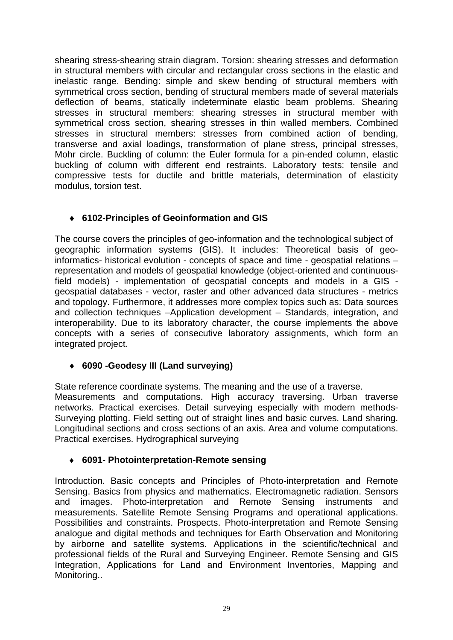shearing stress-shearing strain diagram. Torsion: shearing stresses and deformation in structural members with circular and rectangular cross sections in the elastic and inelastic range. Bending: simple and skew bending of structural members with symmetrical cross section, bending of structural members made of several materials deflection of beams, statically indeterminate elastic beam problems. Shearing stresses in structural members: shearing stresses in structural member with symmetrical cross section, shearing stresses in thin walled members. Combined stresses in structural members: stresses from combined action of bending, transverse and axial loadings, transformation of plane stress, principal stresses, Mohr circle. Buckling of column: the Euler formula for a pin-ended column, elastic buckling of column with different end restraints. Laboratory tests: tensile and compressive tests for ductile and brittle materials, determination of elasticity modulus, torsion test.

# ♦ **6102-Principles of Geoinformation and GIS**

The course covers the principles of geo-information and the technological subject of geographic information systems (GIS). It includes: Theoretical basis of geoinformatics- historical evolution - concepts of space and time - geospatial relations – representation and models of geospatial knowledge (object-oriented and continuousfield models) - implementation of geospatial concepts and models in a GIS geospatial databases - vector, raster and other advanced data structures - metrics and topology. Furthermore, it addresses more complex topics such as: Data sources and collection techniques –Application development – Standards, integration, and interoperability. Due to its laboratory character, the course implements the above concepts with a series of consecutive laboratory assignments, which form an integrated project.

# ♦ **6090 -Geodesy III (Land surveying)**

State reference coordinate systems. The meaning and the use of a traverse. Measurements and computations. High accuracy traversing. Urban traverse networks. Practical exercises. Detail surveying especially with modern methods-Surveying plotting. Field setting out of straight lines and basic curves. Land sharing. Longitudinal sections and cross sections of an axis. Area and volume computations. Practical exercises. Hydrographical surveying

# ♦ **6091- Photointerpretation-Remote sensing**

Introduction. Basic concepts and Principles of Photo-interpretation and Remote Sensing. Basics from physics and mathematics. Electromagnetic radiation. Sensors and images. Photo-interpretation and Remote Sensing instruments and measurements. Satellite Remote Sensing Programs and operational applications. Possibilities and constraints. Prospects. Photo-interpretation and Remote Sensing analogue and digital methods and techniques for Earth Observation and Monitoring by airborne and satellite systems. Applications in the scientific/technical and professional fields of the Rural and Surveying Engineer. Remote Sensing and GIS Integration, Applications for Land and Environment Inventories, Mapping and Monitoring..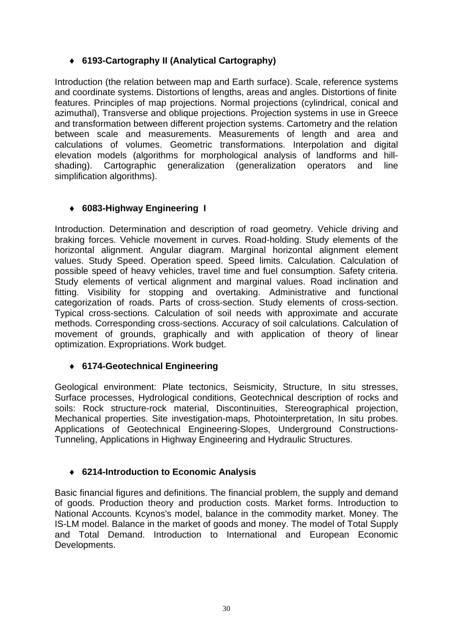# ♦ **6193-Cartography II (Analytical Cartography)**

Introduction (the relation between map and Earth surface). Scale, reference systems and coordinate systems. Distortions of lengths, areas and angles. Distortions of finite features. Principles of map projections. Normal projections (cylindrical, conical and azimuthal), Transverse and oblique projections. Projection systems in use in Greece and transformation between different projection systems. Cartometry and the relation between scale and measurements. Measurements of length and area and calculations of volumes. Geometric transformations. Interpolation and digital elevation models (algorithms for morphological analysis of landforms and hillshading). Cartographic generalization (generalization operators and line simplification algorithms).

# ♦ **6083-Highway Engineering I**

Introduction. Determination and description of road geometry. Vehicle driving and braking forces. Vehicle movement in curves. Road-holding. Study elements of the horizontal alignment. Angular diagram. Marginal horizontal alignment element values. Study Speed. Operation speed. Speed limits. Calculation. Calculation of possible speed of heavy vehicles, travel time and fuel consumption. Safety criteria. Study elements of vertical alignment and marginal values. Road inclination and fitting. Visibility for stopping and overtaking. Administrative and functional categorization of roads. Parts of cross-section. Study elements of cross-section. Typical cross-sections. Calculation of soil needs with approximate and accurate methods. Corresponding cross-sections. Accuracy of soil calculations. Calculation of movement of grounds, graphically and with application of theory of linear optimization. Expropriations. Work budget.

# ♦ **6174-Geotechnical Engineering**

Geological environment: Plate tectonics, Seismicity, Structure, In situ stresses, Surface processes, Hydrological conditions, Geotechnical description of rocks and soils: Rock structure-rock material, Discontinuities, Stereographical projection, Mechanical properties. Site investigation-maps, Photointerpretation, In situ probes. Applications of Geotechnical Engineering-Slopes, Underground Constructions-Tunneling, Applications in Highway Engineering and Hydraulic Structures.

# ♦ **6214-Introduction to Economic Analysis**

Basic financial figures and definitions. The financial problem, the supply and demand of goods. Production theory and production costs. Market forms. Introduction to National Accounts. Kcynos's model, balance in the commodity market. Money. The IS-LM model. Balance in the market of goods and money. The model of Total Supply and Total Demand. Introduction to International and European Economic Developments.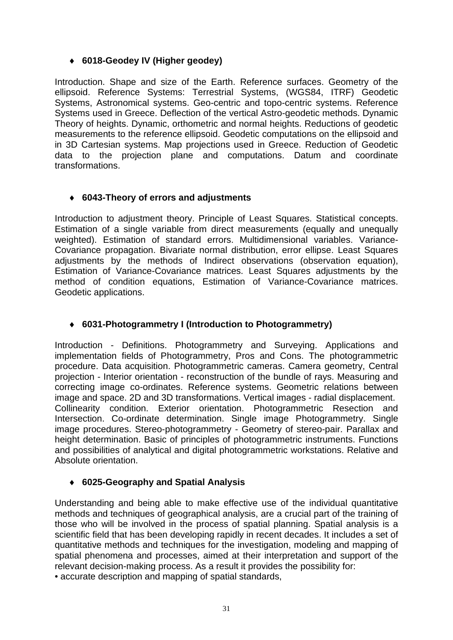# ♦ **6018-Geodey IV (Higher geodey)**

Introduction. Shape and size of the Earth. Reference surfaces. Geometry of the ellipsoid. Reference Systems: Terrestrial Systems, (WGS84, ITRF) Geodetic Systems, Astronomical systems. Geo-centric and topo-centric systems. Reference Systems used in Greece. Deflection of the vertical Astro-geodetic methods. Dynamic Theory of heights. Dynamic, orthometric and normal heights. Reductions of geodetic measurements to the reference ellipsoid. Geodetic computations on the ellipsoid and in 3D Cartesian systems. Map projections used in Greece. Reduction of Geodetic data to the projection plane and computations. Datum and coordinate transformations.

# ♦ **6043-Theory of errors and adjustments**

Introduction to adjustment theory. Principle of Least Squares. Statistical concepts. Estimation of a single variable from direct measurements (equally and unequally weighted). Estimation of standard errors. Multidimensional variables. Variance-Covariance propagation. Bivariate normal distribution, error ellipse. Least Squares adjustments by the methods of Indirect observations (observation equation), Estimation of Variance-Covariance matrices. Least Squares adjustments by the method of condition equations, Estimation of Variance-Covariance matrices. Geodetic applications.

# ♦ **6031-Photogrammetry I (Introduction to Photogrammetry)**

Introduction - Definitions. Photogrammetry and Surveying. Applications and implementation fields of Photogrammetry, Pros and Cons. The photogrammetric procedure. Data acquisition. Photogrammetric cameras. Camera geometry, Central projection - Interior orientation - reconstruction of the bundle of rays. Measuring and correcting image co-ordinates. Reference systems. Geometric relations between image and space. 2D and 3D transformations. Vertical images - radial displacement. Collinearity condition. Exterior orientation. Photogrammetric Resection and Intersection. Co-ordinate determination. Single image Photogrammetry. Single image procedures. Stereo-photogrammetry - Geometry of stereo-pair. Parallax and height determination. Basic of principles of photogrammetric instruments. Functions and possibilities of analytical and digital photogrammetric workstations. Relative and Absolute orientation.

# ♦ **6025-Geography and Spatial Analysis**

Understanding and being able to make effective use of the individual quantitative methods and techniques of geographical analysis, are a crucial part of the training of those who will be involved in the process of spatial planning. Spatial analysis is a scientific field that has been developing rapidly in recent decades. It includes a set of quantitative methods and techniques for the investigation, modeling and mapping of spatial phenomena and processes, aimed at their interpretation and support of the relevant decision-making process. As a result it provides the possibility for:

• accurate description and mapping of spatial standards,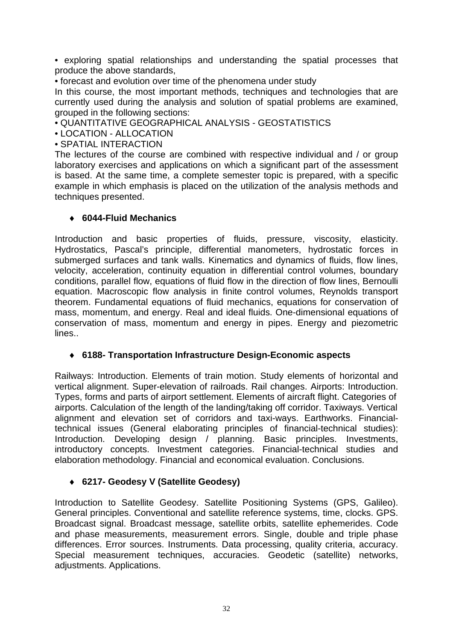• exploring spatial relationships and understanding the spatial processes that produce the above standards,

• forecast and evolution over time of the phenomena under study

In this course, the most important methods, techniques and technologies that are currently used during the analysis and solution of spatial problems are examined, grouped in the following sections:

• QUANTITATIVE GEOGRAPHICAL ANALYSIS - GEOSTATISTICS

• LOCATION - ALLOCATION

• SPATIAL INTERACTION

The lectures of the course are combined with respective individual and / or group laboratory exercises and applications on which a significant part of the assessment is based. At the same time, a complete semester topic is prepared, with a specific example in which emphasis is placed on the utilization of the analysis methods and techniques presented.

#### ♦ **6044-Fluid Mechanics**

Introduction and basic properties of fluids, pressure, viscosity, elasticity. Hydrostatics, Pascal's principle, differential manometers, hydrostatic forces in submerged surfaces and tank walls. Kinematics and dynamics of fluids, flow lines, velocity, acceleration, continuity equation in differential control volumes, boundary conditions, parallel flow, equations of fluid flow in the direction of flow lines, Bernoulli equation. Macroscopic flow analysis in finite control volumes, Reynolds transport theorem. Fundamental equations of fluid mechanics, equations for conservation of mass, momentum, and energy. Real and ideal fluids. One-dimensional equations of conservation of mass, momentum and energy in pipes. Energy and piezometric lines..

#### ♦ **6188- Transportation Infrastructure Design-Economic aspects**

Railways: Introduction. Elements of train motion. Study elements of horizontal and vertical alignment. Super-elevation of railroads. Rail changes. Airports: Introduction. Types, forms and parts of airport settlement. Elements of aircraft flight. Categories of airports. Calculation of the length of the landing/taking off corridor. Taxiways. Vertical alignment and elevation set of corridors and taxi-ways. Earthworks. Financialtechnical issues (General elaborating principles of financial-technical studies): Introduction. Developing design / planning. Basic principles. Investments, introductory concepts. Investment categories. Financial-technical studies and elaboration methodology. Financial and economical evaluation. Conclusions.

# ♦ **6217- Geodesy V (Satellite Geodesy)**

Introduction to Satellite Geodesy. Satellite Positioning Systems (GPS, Galileo). General principles. Conventional and satellite reference systems, time, clocks. GPS. Broadcast signal. Broadcast message, satellite orbits, satellite ephemerides. Code and phase measurements, measurement errors. Single, double and triple phase differences. Error sources. Instruments. Data processing, quality criteria, accuracy. Special measurement techniques, accuracies. Geodetic (satellite) networks, adjustments. Applications.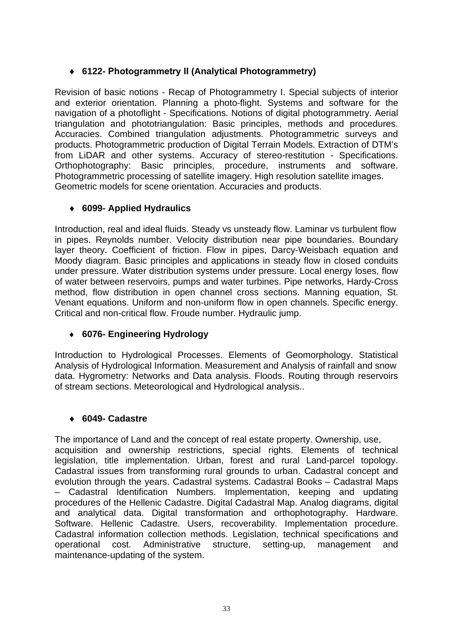# ♦ **6122- Photogrammetry ΙΙ (Analytical Photogrammetry)**

Revision of basic notions - Recap of Photogrammetry I. Special subjects of interior and exterior orientation. Planning a photo-flight. Systems and software for the navigation of a photoflight - Specifications. Notions of digital photogrammetry. Aerial triangulation and phototriangulation: Basic principles, methods and procedures. Accuracies. Combined triangulation adjustments. Photogrammetric surveys and products. Photogrammetric production of Digital Terrain Models. Extraction of DTM's from LiDAR and other systems. Accuracy of stereo-restitution - Specifications. Orthophotography: Basic principles, procedure, instruments and software. Photogrammetric processing of satellite imagery. High resolution satellite images. Geometric models for scene orientation. Accuracies and products.

#### ♦ **6099- Applied Hydraulics**

Introduction, real and ideal fluids. Steady vs unsteady flow. Laminar vs turbulent flow in pipes. Reynolds number. Velocity distribution near pipe boundaries. Boundary layer theory. Coefficient of friction. Flow in pipes, Darcy-Weisbach equation and Moody diagram. Basic principles and applications in steady flow in closed conduits under pressure. Water distribution systems under pressure. Local energy loses, flow of water between reservoirs, pumps and water turbines. Pipe networks, Hardy-Cross method, flow distribution in open channel cross sections. Manning equation, St. Venant equations. Uniform and non-uniform flow in open channels. Specific energy. Critical and non-critical flow. Froude number. Hydraulic jump.

# ♦ **6076- Engineering Hydrology**

Introduction to Hydrological Processes. Elements of Geomorphology. Statistical Analysis of Hydrological Information. Measurement and Analysis of rainfall and snow data. Hygrometry: Networks and Data analysis. Floods. Routing through reservoirs of stream sections. Meteorological and Hydrological analysis..

#### ♦ **6049- Cadastre**

The importance of Land and the concept of real estate property. Ownership, use, acquisition and ownership restrictions, special rights. Elements of technical legislation, title implementation. Urban, forest and rural Land-parcel topology. Cadastral issues from transforming rural grounds to urban. Cadastral concept and evolution through the years. Cadastral systems. Cadastral Books – Cadastral Maps – Cadastral Identification Numbers. Implementation, keeping and updating procedures of the Hellenic Cadastre. Digital Cadastral Map. Analog diagrams, digital and analytical data. Digital transformation and orthophotography. Hardware. Software. Hellenic Cadastre. Users, recoverability. Implementation procedure. Cadastral information collection methods. Legislation, technical specifications and operational cost. Administrative structure, setting-up, management and maintenance-updating of the system.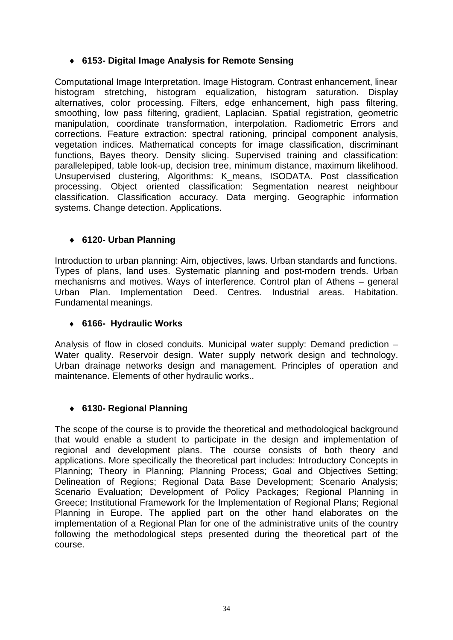# ♦ **6153- Digital Image Analysis for Remote Sensing**

Computational Image Interpretation. Image Histogram. Contrast enhancement, linear histogram stretching, histogram equalization, histogram saturation. Display alternatives, color processing. Filters, edge enhancement, high pass filtering, smoothing, low pass filtering, gradient, Laplacian. Spatial registration, geometric manipulation, coordinate transformation, interpolation. Radiometric Errors and corrections. Feature extraction: spectral rationing, principal component analysis, vegetation indices. Mathematical concepts for image classification, discriminant functions, Bayes theory. Density slicing. Supervised training and classification: parallelepiped, table look-up, decision tree, minimum distance, maximum likelihood. Unsupervised clustering, Algorithms: K\_means, ISODATA. Post classification processing. Object oriented classification: Segmentation nearest neighbour classification. Classification accuracy. Data merging. Geographic information systems. Change detection. Applications.

# ♦ **6120- Urban Planning**

Introduction to urban planning: Aim, objectives, laws. Urban standards and functions. Types of plans, land uses. Systematic planning and post-modern trends. Urban mechanisms and motives. Ways of interference. Control plan of Athens – general Urban Plan. Implementation Deed. Centres. Industrial areas. Habitation. Fundamental meanings.

#### ♦ **6166- Hydraulic Works**

Analysis of flow in closed conduits. Municipal water supply: Demand prediction – Water quality. Reservoir design. Water supply network design and technology. Urban drainage networks design and management. Principles of operation and maintenance. Elements of other hydraulic works..

# ♦ **6130- Regional Planning**

The scope of the course is to provide the theoretical and methodological background that would enable a student to participate in the design and implementation of regional and development plans. The course consists of both theory and applications. More specifically the theoretical part includes: Introductory Concepts in Planning; Theory in Planning; Planning Process; Goal and Objectives Setting; Delineation of Regions; Regional Data Base Development; Scenario Analysis; Scenario Evaluation; Development of Policy Packages; Regional Planning in Greece; Institutional Framework for the Implementation of Regional Plans; Regional Planning in Europe. The applied part on the other hand elaborates on the implementation of a Regional Plan for one of the administrative units of the country following the methodological steps presented during the theoretical part of the course.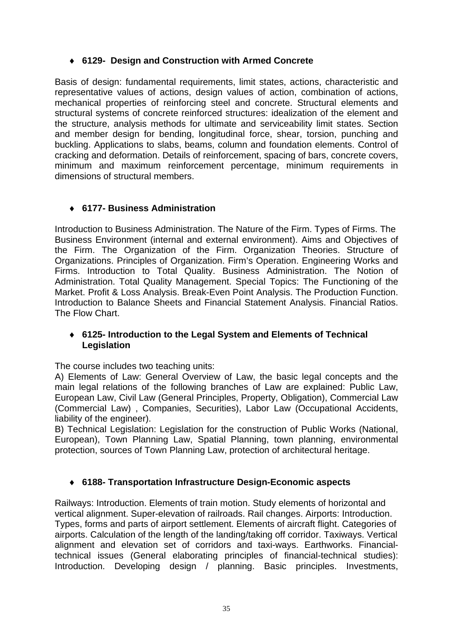# ♦ **6129- Design and Construction with Armed Concrete**

Basis of design: fundamental requirements, limit states, actions, characteristic and representative values of actions, design values of action, combination of actions, mechanical properties of reinforcing steel and concrete. Structural elements and structural systems of concrete reinforced structures: idealization of the element and the structure, analysis methods for ultimate and serviceability limit states. Section and member design for bending, longitudinal force, shear, torsion, punching and buckling. Applications to slabs, beams, column and foundation elements. Control of cracking and deformation. Details of reinforcement, spacing of bars, concrete covers, minimum and maximum reinforcement percentage, minimum requirements in dimensions of structural members.

# ♦ **6177- Business Administration**

Introduction to Business Administration. The Nature of the Firm. Types of Firms. The Business Environment (internal and external environment). Aims and Objectives of the Firm. The Organization of the Firm. Organization Theories. Structure of Organizations. Principles of Organization. Firm's Operation. Engineering Works and Firms. Introduction to Total Quality. Business Administration. The Notion of Administration. Total Quality Management. Special Topics: The Functioning of the Market. Profit & Loss Analysis. Break-Even Point Analysis. The Production Function. Introduction to Balance Sheets and Financial Statement Analysis. Financial Ratios. The Flow Chart.

#### ♦ **6125- Introduction to the Legal System and Elements of Technical Legislation**

The course includes two teaching units:

A) Elements of Law: General Overview of Law, the basic legal concepts and the main legal relations of the following branches of Law are explained: Public Law, European Law, Civil Law (General Principles, Property, Obligation), Commercial Law (Commercial Law) , Companies, Securities), Labor Law (Occupational Accidents, liability of the engineer).

B) Technical Legislation: Legislation for the construction of Public Works (National, European), Town Planning Law, Spatial Planning, town planning, environmental protection, sources of Town Planning Law, protection of architectural heritage.

# ♦ **6188- Transportation Infrastructure Design-Economic aspects**

Railways: Introduction. Elements of train motion. Study elements of horizontal and vertical alignment. Super-elevation of railroads. Rail changes. Airports: Introduction. Types, forms and parts of airport settlement. Elements of aircraft flight. Categories of airports. Calculation of the length of the landing/taking off corridor. Taxiways. Vertical alignment and elevation set of corridors and taxi-ways. Earthworks. Financialtechnical issues (General elaborating principles of financial-technical studies): Introduction. Developing design / planning. Basic principles. Investments,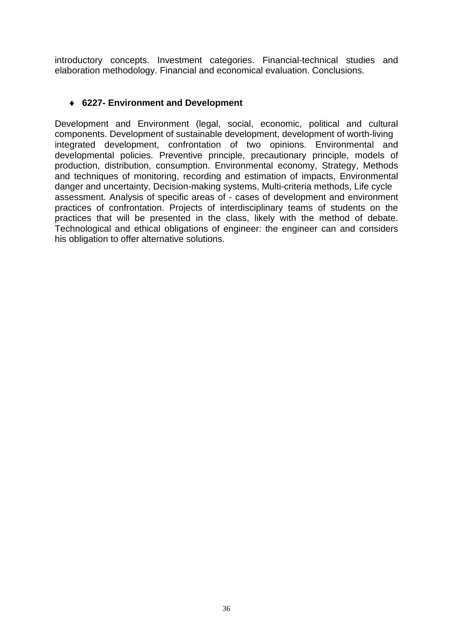introductory concepts. Investment categories. Financial-technical studies and elaboration methodology. Financial and economical evaluation. Conclusions.

#### ♦ **6227- Environment and Development**

Development and Environment (legal, social, economic, political and cultural components. Development of sustainable development, development of worth-living integrated development, confrontation of two opinions. Environmental and developmental policies. Preventive principle, precautionary principle, models of production, distribution, consumption. Environmental economy, Strategy, Methods and techniques of monitoring, recording and estimation of impacts, Environmental danger and uncertainty, Decision-making systems, Multi-criteria methods, Life cycle assessment. Analysis of specific areas of - cases of development and environment practices of confrontation. Projects of interdisciplinary teams of students on the practices that will be presented in the class, likely with the method of debate. Technological and ethical obligations of engineer: the engineer can and considers his obligation to offer alternative solutions.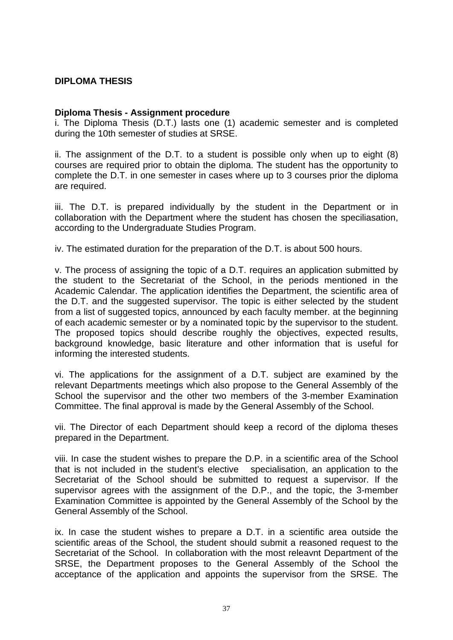#### **DIPLOMA THESIS**

#### **Diploma Thesis - Assignment procedure**

i. The Diploma Thesis (D.T.) lasts one (1) academic semester and is completed during the 10th semester of studies at SRSE.

ii. The assignment of the D.T. to a student is possible only when up to eight (8) courses are required prior to obtain the diploma. The student has the opportunity to complete the D.T. in one semester in cases where up to 3 courses prior the diploma are required.

iii. The D.T. is prepared individually by the student in the Department or in collaboration with the Department where the student has chosen the speciliasation, according to the Undergraduate Studies Program.

iv. The estimated duration for the preparation of the D.T. is about 500 hours.

v. The process of assigning the topic of a D.T. requires an application submitted by the student to the Secretariat of the School, in the periods mentioned in the Academic Calendar. The application identifies the Department, the scientific area of the D.T. and the suggested supervisor. The topic is either selected by the student from a list of suggested topics, announced by each faculty member. at the beginning of each academic semester or by a nominated topic by the supervisor to the student. The proposed topics should describe roughly the objectives, expected results, background knowledge, basic literature and other information that is useful for informing the interested students.

vi. The applications for the assignment of a D.T. subject are examined by the relevant Departments meetings which also propose to the General Assembly of the School the supervisor and the other two members of the 3-member Examination Committee. The final approval is made by the General Assembly of the School.

vii. The Director of each Department should keep a record of the diploma theses prepared in the Department.

viii. In case the student wishes to prepare the D.P. in a scientific area of the School that is not included in the student's elective specialisation, an application to the Secretariat of the School should be submitted to request a supervisor. If the supervisor agrees with the assignment of the D.P., and the topic, the 3-member Examination Committee is appointed by the General Assembly of the School by the General Assembly of the School.

ix. In case the student wishes to prepare a D.T. in a scientific area outside the scientific areas of the School, the student should submit a reasoned request to the Secretariat of the School. In collaboration with the most releavnt Department of the SRSE, the Department proposes to the General Assembly of the School the acceptance of the application and appoints the supervisor from the SRSE. The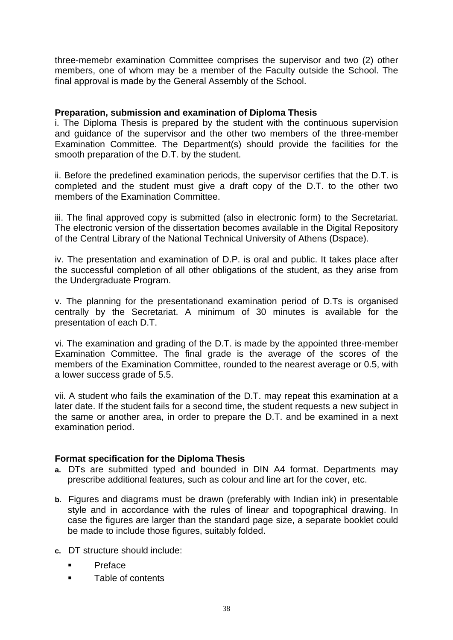three-memebr examination Committee comprises the supervisor and two (2) other members, one of whom may be a member of the Faculty outside the School. The final approval is made by the General Assembly of the School.

#### **Preparation, submission and examination of Diploma Thesis**

i. The Diploma Thesis is prepared by the student with the continuous supervision and guidance of the supervisor and the other two members of the three-member Examination Committee. The Department(s) should provide the facilities for the smooth preparation of the D.T. by the student.

ii. Before the predefined examination periods, the supervisor certifies that the D.T. is completed and the student must give a draft copy of the D.T. to the other two members of the Examination Committee.

iii. The final approved copy is submitted (also in electronic form) to the Secretariat. The electronic version of the dissertation becomes available in the Digital Repository of the Central Library of the National Technical University of Athens (Dspace).

iv. The presentation and examination of D.P. is oral and public. It takes place after the successful completion of all other obligations of the student, as they arise from the Undergraduate Program.

v. The planning for the presentationand examination period of D.Ts is organised centrally by the Secretariat. A minimum of 30 minutes is available for the presentation of each D.T.

vi. The examination and grading of the D.T. is made by the appointed three-member Examination Committee. The final grade is the average of the scores of the members of the Examination Committee, rounded to the nearest average or 0.5, with a lower success grade of 5.5.

vii. A student who fails the examination of the D.T. may repeat this examination at a later date. If the student fails for a second time, the student requests a new subject in the same or another area, in order to prepare the D.T. and be examined in a next examination period.

#### **Format specification for the Diploma Thesis**

- **a.** DTs are submitted typed and bounded in DIN A4 format. Departments may prescribe additional features, such as colour and line art for the cover, etc.
- **b.** Figures and diagrams must be drawn (preferably with Indian ink) in presentable style and in accordance with the rules of linear and topographical drawing. In case the figures are larger than the standard page size, a separate booklet could be made to include those figures, suitably folded.
- **c.** DT structure should include:
	- Preface
	- **Table of contents**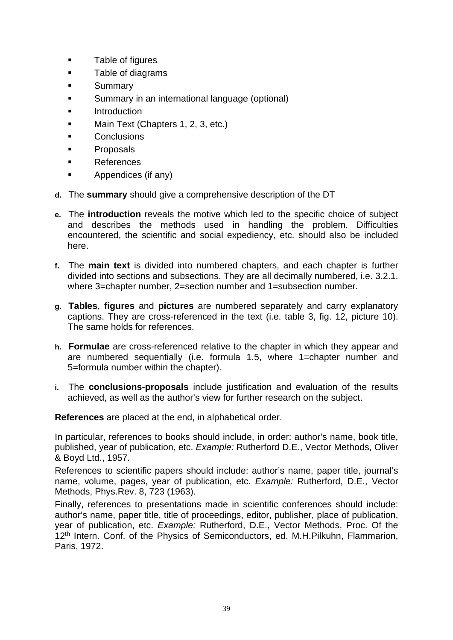- **Table of figures**
- **Table of diagrams**
- **Summary**
- **Summary in an international language (optional)**
- Introduction
- Main Text (Chapters 1, 2, 3, etc.)
- **Conclusions**
- Proposals
- **References**
- Appendices (if any)
- **d.** The **summary** should give a comprehensive description of the DT
- **e.** The **introduction** reveals the motive which led to the specific choice of subject and describes the methods used in handling the problem. Difficulties encountered, the scientific and social expediency, etc. should also be included here.
- **f.** The **main text** is divided into numbered chapters, and each chapter is further divided into sections and subsections. They are all decimally numbered, i.e. 3.2.1. where 3=chapter number, 2=section number and 1=subsection number.
- **g. Tables**, **figures** and **pictures** are numbered separately and carry explanatory captions. They are cross-referenced in the text (i.e. table 3, fig. 12, picture 10). The same holds for references.
- **h. Formulae** are cross-referenced relative to the chapter in which they appear and are numbered sequentially (i.e. formula 1.5, where 1=chapter number and 5=formula number within the chapter).
- **i.** The **conclusions-proposals** include justification and evaluation of the results achieved, as well as the author's view for further research on the subject.

**References** are placed at the end, in alphabetical order.

In particular, references to books should include, in order: author's name, book title, published, year of publication, etc. *Example:* Rutherford D.E., Vector Methods, Oliver & Boyd Ltd., 1957.

References to scientific papers should include: author's name, paper title, journal's name, volume, pages, year of publication, etc. *Example:* Rutherford, D.E., Vector Methods, Phys.Rev. 8, 723 (1963).

Finally, references to presentations made in scientific conferences should include: author's name, paper title, title of proceedings, editor, publisher, place of publication, year of publication, etc. *Example:* Rutherford, D.E., Vector Methods, Proc. Of the 12<sup>th</sup> Intern. Conf. of the Physics of Semiconductors, ed. M.H.Pilkuhn, Flammarion, Paris, 1972.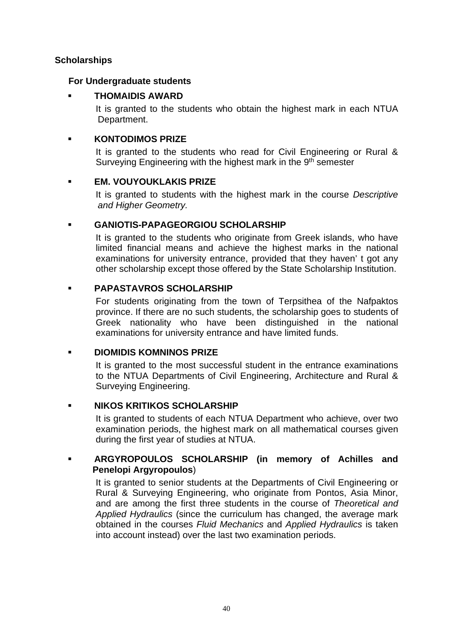#### **Scholarships**

#### **For Undergraduate students**

#### **THOMAIDIS AWARD**

It is granted to the students who obtain the highest mark in each NTUA Department.

#### **KONTODIMOS PRIZE**

It is granted to the students who read for Civil Engineering or Rural & Surveying Engineering with the highest mark in the 9<sup>th</sup> semester

#### **EM. VOUYOUKLAKIS PRIZE**

It is granted to students with the highest mark in the course *Descriptive and Higher Geometry.*

# **GANIOTIS-PAPAGEORGIOU SCHOLARSHIP**

It is granted to the students who originate from Greek islands, who have limited financial means and achieve the highest marks in the national examinations for university entrance, provided that they haven' t got any other scholarship except those offered by the State Scholarship Institution.

# **PAPASTAVROS SCHOLARSHIP**

For students originating from the town of Terpsithea of the Nafpaktos province. If there are no such students, the scholarship goes to students of Greek nationality who have been distinguished in the national examinations for university entrance and have limited funds.

# **DIOMIDIS KOMNINOS PRIZE**

It is granted to the most successful student in the entrance examinations to the NTUA Departments of Civil Engineering, Architecture and Rural & Surveying Engineering.

# **NIKOS KRITIKOS SCHOLARSHIP**

It is granted to students of each NTUA Department who achieve, over two examination periods, the highest mark on all mathematical courses given during the first year of studies at NTUA.

# **ARGYROPOULOS SCHOLARSHIP (in memory of Achilles and Penelopi Argyropoulos**)

It is granted to senior students at the Departments of Civil Engineering or Rural & Surveying Engineering, who originate from Pontos, Asia Minor, and are among the first three students in the course of *Theoretical and Applied Hydraulics* (since the curriculum has changed, the average mark obtained in the courses *Fluid Mechanics* and *Applied Hydraulics* is taken into account instead) over the last two examination periods.